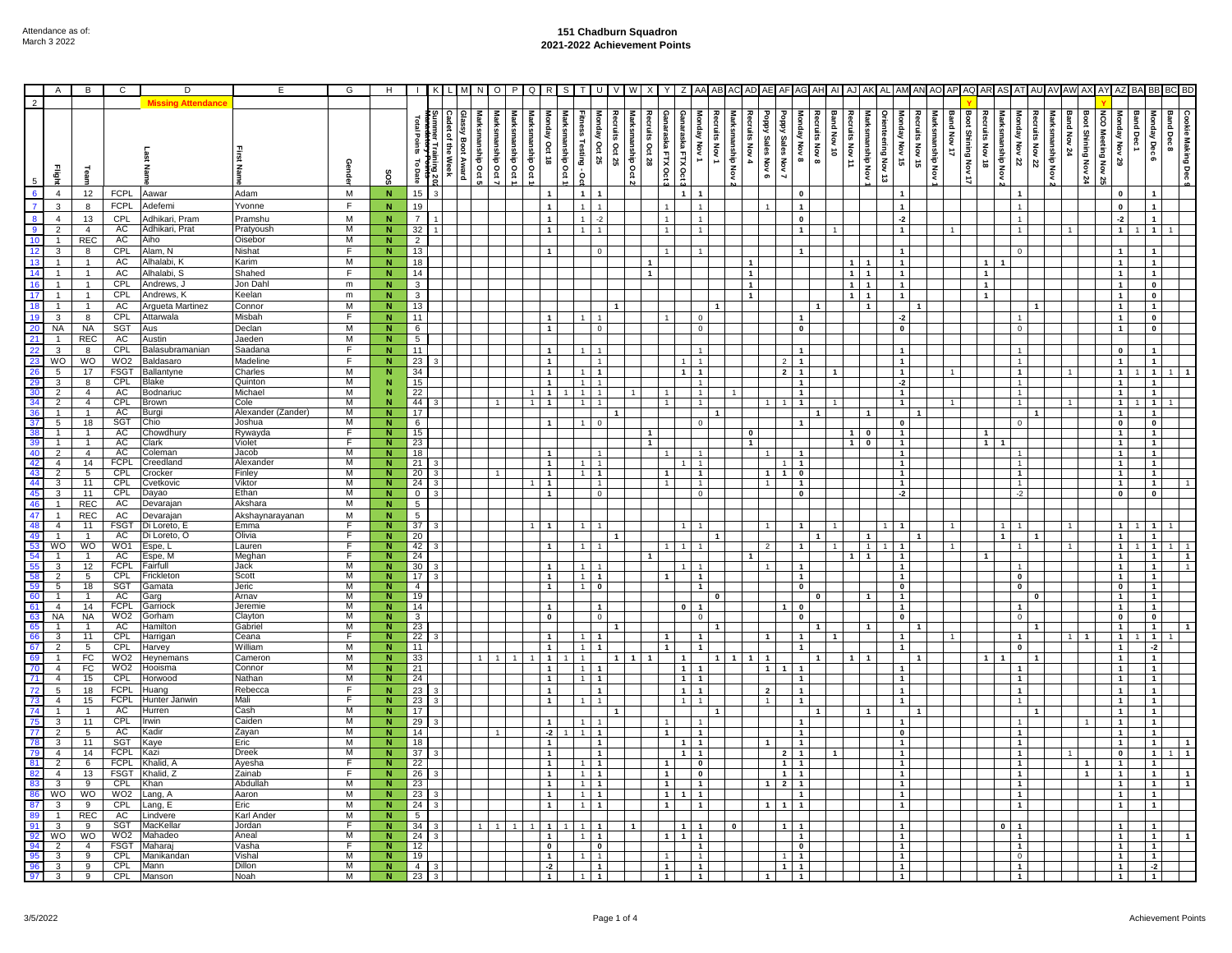## **151 Chadburn Squadron 2021-2022 Achievement Points**

|                                                                                       | Α                                         | B                                | C                         | D                                | E                   | G         | н                                |                       |                                 |                                            | O                  |                            | R                                | -S               |                                  | IJ                                        |                |                |                   |                                                  |                                    |                          |                                      |                      |                                  |                |                 |                                         |                                  |                                     |                |                     |                              |                                         |                 |                                 |                            |                           |                                  |                                  |                   |                                  |
|---------------------------------------------------------------------------------------|-------------------------------------------|----------------------------------|---------------------------|----------------------------------|---------------------|-----------|----------------------------------|-----------------------|---------------------------------|--------------------------------------------|--------------------|----------------------------|----------------------------------|------------------|----------------------------------|-------------------------------------------|----------------|----------------|-------------------|--------------------------------------------------|------------------------------------|--------------------------|--------------------------------------|----------------------|----------------------------------|----------------|-----------------|-----------------------------------------|----------------------------------|-------------------------------------|----------------|---------------------|------------------------------|-----------------------------------------|-----------------|---------------------------------|----------------------------|---------------------------|----------------------------------|----------------------------------|-------------------|----------------------------------|
| $\overline{2}$                                                                        |                                           |                                  |                           |                                  |                     |           |                                  |                       |                                 |                                            |                    |                            |                                  |                  |                                  |                                           |                |                |                   |                                                  |                                    |                          |                                      |                      |                                  |                |                 |                                         |                                  |                                     |                |                     |                              |                                         |                 |                                 |                            |                           |                                  |                                  |                   |                                  |
|                                                                                       |                                           | ueau                             |                           |                                  |                     | ရွ        | °S                               | Points<br>ಕ<br>Date   | ler Tra<br>룿<br>ilning 20:<br>€ | Glassy Boot<br>Marksmanship Oct<br>i Award | Marksmanship Oct 7 | Marksmanship Oct<br>anship | ē<br>Oct 18<br>ρq                | Marksmanship Oct | Fitness Testing - Oc             | Recruits Oct 25<br>Monday<br>/ Oct 25     | nship Oct      | s Oct 28       | Ganaraska FTX Oct | Ganaraska FTX Oct<br>Monday Nov 1                | Recruits Nov 1<br>Marksmanship Nov | Sain.<br>Nov 4           | <b>Gdod</b><br><b>Sales Nov</b><br>െ | kadod<br>Sales Nov 7 | Monday Nov 8<br>Recruits Nov 8   | Band Nov 10    | Recruits Nov 11 | ă<br>Marksmanship Nov<br>d.<br>χóν<br>ದ | Monday Nov 15                    | Recruits Nov 15<br>Marksmanship Nov | Band Nov 17    | Boot Shining Nov 17 | ruits Nov 18<br>smanship Nov | Monday Nov 22                           | Recruits Nov 22 | Band Nov 24<br>Marksmanship Nov | Boot<br><b>Shining Nov</b> | និ<br><b>Meeting</b><br>ğ | ۊ<br>Nov<br>29                   | Band Dec1<br>Monday Dec 6        | <b>Band Dec 8</b> | Cookie Making Dec                |
|                                                                                       | $\overline{4}$                            | 12                               | <b>FCPL</b>               | Aawar                            | Adam                | M         | N                                | 15                    |                                 |                                            |                    |                            |                                  |                  | $\overline{1}$                   |                                           |                |                | $\overline{1}$    |                                                  |                                    |                          |                                      |                      | $\mathbf 0$                      |                |                 |                                         |                                  |                                     |                |                     |                              |                                         |                 |                                 |                            |                           |                                  |                                  |                   |                                  |
|                                                                                       | 3                                         | 8                                | <b>FCPL</b>               | Adefemi                          | Yvonne              | F.        | N.                               | 19                    |                                 |                                            |                    |                            | $\mathbf{1}$                     |                  |                                  |                                           |                |                |                   |                                                  |                                    |                          |                                      |                      | $\mathbf{1}$                     |                |                 |                                         |                                  |                                     |                |                     |                              | $\ddot{\phantom{0}}$                    |                 |                                 |                            |                           | <b>n</b>                         | $\mathbf{1}$                     |                   |                                  |
| $\overline{8}$                                                                        | $\overline{4}$                            | 13                               | CPL                       | Adhikari, Pram                   | Pramshu             | M         | N.                               | $\overline{7}$        |                                 |                                            |                    |                            | $\mathbf{1}$                     |                  |                                  |                                           |                |                |                   |                                                  |                                    |                          |                                      |                      | $\mathbf{0}$                     |                |                 |                                         | $-2$                             |                                     |                |                     |                              | $\ddot{\phantom{0}}$                    |                 |                                 |                            |                           |                                  | $\mathbf{1}$                     |                   |                                  |
|                                                                                       | $\overline{2}$                            | $\overline{4}$                   | AC                        | Adhikari, Prat                   | Pratyoush           | M         | $\overline{N}$                   | 32                    |                                 |                                            |                    |                            | $\mathbf{1}$                     |                  | $\overline{1}$                   |                                           |                |                |                   | $\overline{1}$                                   |                                    |                          |                                      |                      | $\overline{1}$                   |                |                 |                                         | $\overline{1}$                   |                                     | $\overline{1}$ |                     |                              | $\overline{1}$                          |                 |                                 |                            |                           |                                  | $\mathbf{1}$                     |                   |                                  |
| $\frac{9}{10}$                                                                        | $\mathbf{1}$                              | <b>REC</b>                       | <b>AC</b>                 | Aiho                             | Oisebor             | M         | $\overline{N}$                   | $\overline{2}$        |                                 |                                            |                    |                            |                                  |                  |                                  |                                           |                |                |                   |                                                  |                                    |                          |                                      |                      |                                  |                |                 |                                         |                                  |                                     |                |                     |                              |                                         |                 |                                 |                            |                           |                                  |                                  |                   |                                  |
|                                                                                       | $\overline{3}$                            | 8                                | CPL                       | Alam, N                          | Nishat              | F         | $\overline{\mathsf{N}}$          | 13                    |                                 |                                            |                    |                            | $\mathbf{1}$                     |                  |                                  | $\Omega$                                  |                |                |                   |                                                  |                                    |                          |                                      |                      | $\mathbf{1}$                     |                |                 |                                         | $\mathbf{1}$                     |                                     |                |                     |                              | $\Omega$                                |                 |                                 |                            |                           |                                  | $\mathbf{1}$                     |                   |                                  |
| $\frac{12}{13}$                                                                       | $\mathbf{1}$                              | $\mathbf{1}$                     | AC                        | Alhalabi, K                      | Karim               | M         | ${\bf N}$                        | 18                    |                                 |                                            |                    |                            |                                  |                  |                                  |                                           |                |                |                   |                                                  |                                    | $\mathbf{1}$             |                                      |                      |                                  |                | $\overline{1}$  |                                         | $\mathbf{1}$                     |                                     |                |                     | $\overline{1}$               |                                         |                 |                                 |                            |                           |                                  | $\mathbf{1}$                     |                   |                                  |
| 14                                                                                    | $\mathbf{1}$                              | $\overline{1}$                   | <b>AC</b>                 | Alhalabi, S                      | Shahed              | Ē         | ${\bf N}$                        | 14                    |                                 |                                            |                    |                            |                                  |                  |                                  |                                           |                |                |                   |                                                  |                                    | $\mathbf{1}$             |                                      |                      |                                  |                | $\overline{1}$  | $\mathbf{1}$                            | $\mathbf{1}$                     |                                     |                |                     | $\mathbf{1}$                 |                                         |                 |                                 |                            |                           |                                  | $\mathbf{1}$                     |                   |                                  |
| 16                                                                                    | $\mathbf{1}$                              | $\mathbf{1}$                     | CPL                       | Andrews, J                       | Jon Dah             | m         | N                                | 3                     |                                 |                                            |                    |                            |                                  |                  |                                  |                                           |                |                |                   |                                                  |                                    | $\overline{1}$           |                                      |                      |                                  |                | $1 \mid 1$      |                                         | $\mathbf{1}$                     |                                     |                |                     | $\overline{1}$               |                                         |                 |                                 |                            |                           |                                  | $\mathbf 0$                      |                   |                                  |
| 17                                                                                    | $\mathbf{1}$                              | $\mathbf{1}$                     | CPL                       | Andrews, K                       | Keelan              | ${\sf m}$ | ${\bf N}$                        | 3                     |                                 |                                            |                    |                            |                                  |                  |                                  |                                           |                |                |                   |                                                  |                                    | $\overline{1}$           |                                      |                      |                                  |                | 1 I 1           |                                         | $\mathbf{1}$                     |                                     |                |                     | $\overline{1}$               |                                         |                 |                                 |                            |                           |                                  | $\pmb{0}$                        |                   |                                  |
|                                                                                       | $\overline{1}$                            | $\mathbf{1}$                     | AC                        | Argueta Martinez                 | Connor              | M         | N.                               | 13                    |                                 |                                            |                    |                            |                                  |                  |                                  |                                           |                |                |                   |                                                  |                                    |                          |                                      |                      |                                  |                |                 | $\mathbf{1}$                            |                                  | $\overline{1}$                      |                |                     |                              |                                         |                 |                                 |                            |                           |                                  | $\mathbf{1}$                     |                   |                                  |
| 19                                                                                    | 3                                         | 8                                | CPL                       | Attarwala                        | Misbah              | E         | N                                | 11                    |                                 |                                            |                    |                            | $\mathbf{1}$                     |                  |                                  |                                           |                |                |                   | $\Omega$                                         |                                    |                          |                                      |                      | $\mathbf{1}$                     |                |                 |                                         | $-2$                             |                                     |                |                     |                              | $\mathbf{1}$                            |                 |                                 |                            |                           | $\mathbf{1}$                     | $\mathbf{0}$                     |                   |                                  |
|                                                                                       | <b>NA</b>                                 | <b>NA</b>                        | SGT                       | Aus                              | Declan              | M         | N                                | 6                     |                                 |                                            |                    |                            | $\mathbf{1}$                     |                  |                                  | $\Omega$                                  |                |                |                   | $\Omega$                                         |                                    |                          |                                      |                      | $\mathbf{0}$                     |                |                 |                                         | $\mathbf 0$                      |                                     |                |                     |                              | $\mathsf 0$                             |                 |                                 |                            |                           | $\mathbf{1}$                     | $\pmb{0}$                        |                   |                                  |
|                                                                                       | $\mathbf{1}$                              | <b>REC</b>                       | AC                        | Austin                           | Jaeden              | M         | $\overline{N}$                   | $\overline{5}$        |                                 |                                            |                    |                            |                                  |                  |                                  |                                           |                |                |                   |                                                  |                                    |                          |                                      |                      |                                  |                |                 |                                         |                                  |                                     |                |                     |                              |                                         |                 |                                 |                            |                           |                                  |                                  |                   |                                  |
|                                                                                       | $\mathbf{3}$                              | 8                                | <b>CPL</b>                | Balasubramanian                  | Saadana             | F         | ${\bf N}$                        | 11                    |                                 |                                            |                    |                            | $\mathbf{1}$                     |                  |                                  |                                           |                |                |                   | $\overline{1}$                                   |                                    |                          |                                      |                      | $\mathbf{1}$                     |                |                 |                                         | $\mathbf{1}$                     |                                     |                |                     |                              | $\mathbf{1}$                            |                 |                                 |                            |                           | $\mathbf 0$                      | $\mathbf{1}$                     |                   |                                  |
| $\begin{array}{r}\n 20 \\  \hline\n 21 \\  \hline\n 22 \\  \hline\n 23\n \end{array}$ | WO                                        | WO                               | WO <sub>2</sub>           | Baldasaro                        | Madeline            | F         | $\mathbf N$                      | 23                    |                                 |                                            |                    |                            | $\mathbf{1}$                     |                  |                                  | $\overline{1}$                            |                |                | $\mathbf{1}$      | $\overline{1}$                                   |                                    |                          |                                      | $\overline{2}$       | $\mathbf{1}$                     |                |                 |                                         | $\mathbf{1}$                     |                                     |                |                     |                              | $\mathbf{1}$                            |                 |                                 |                            |                           | $\mathbf{1}$                     | $\mathbf{1}$                     |                   |                                  |
| 26                                                                                    | 5 <sup>5</sup>                            | 17                               | <b>FSGT</b>               | Ballantyne                       | Charles             | M         | N                                | 34                    |                                 |                                            |                    |                            | $\mathbf 1$                      |                  | $\overline{1}$                   | $\overline{\mathbf{1}}$                   |                |                |                   | $\mathbf{1}$<br>$\overline{1}$                   |                                    |                          |                                      | $\mathbf{2}$         | $\mathbf{1}$                     |                |                 |                                         | $\mathbf{1}$                     |                                     |                |                     |                              | $\mathbf{1}$                            |                 |                                 |                            |                           | $\mathbf{1}$                     | 1                                |                   |                                  |
| 29                                                                                    | $\mathbf{3}$                              | 8                                | CPL                       | 3lake                            | Quinton<br>Michael  | M<br>M    | N                                | 15                    |                                 |                                            |                    |                            | $\mathbf{1}$                     |                  | $\mathbf{1}$                     | $\overline{1}$                            |                |                |                   | $\overline{1}$                                   |                                    |                          |                                      |                      | $\mathbf{1}$                     |                |                 |                                         | $-2$                             |                                     |                |                     |                              | $\mathbf{1}$                            |                 |                                 |                            |                           | $\mathbf{1}$                     | $\mathbf{1}$                     |                   |                                  |
| $\begin{array}{r} 30 \\ 34 \\ 36 \end{array}$                                         | $\overline{2}$<br>$\overline{2}$          | $\overline{4}$<br>$\overline{4}$ | AC<br><b>CPL</b>          | <b>Bodnariuc</b><br><b>Brown</b> | Cole                | M         | N                                | 22<br>-44             |                                 |                                            |                    |                            | $\overline{1}$<br>$\overline{1}$ | $\overline{1}$   | $\overline{1}$                   |                                           |                |                |                   | $\overline{1}$<br>$\overline{1}$                 |                                    |                          |                                      |                      | $\overline{1}$<br>$\overline{1}$ |                |                 |                                         | $\overline{1}$<br>$\overline{1}$ |                                     |                |                     |                              | $\mathbf{1}$<br>$\mathbf{1}$            |                 |                                 |                            |                           | $\mathbf{1}$<br>$\mathbf{1}$     | $\overline{1}$<br>$\overline{1}$ |                   |                                  |
|                                                                                       | $\overline{1}$                            | $\mathbf{1}$                     | AC                        | Burgi                            | Alexander (Zander)  | M         | N                                | 17                    |                                 |                                            |                    |                            |                                  |                  |                                  |                                           |                |                |                   |                                                  |                                    |                          |                                      |                      |                                  |                |                 |                                         |                                  | $\overline{\mathbf{1}}$             |                |                     |                              |                                         | $\mathbf{1}$    |                                 |                            |                           | 1                                | $\mathbf{1}$                     |                   |                                  |
| $\frac{37}{38}$                                                                       | 5                                         | 18                               | SGT                       | Chio                             | Joshua              | M         | N                                | 6                     |                                 |                                            |                    |                            | $\overline{1}$                   |                  |                                  |                                           |                |                |                   | $\Omega$                                         |                                    |                          |                                      |                      | $\mathbf{1}$                     |                |                 |                                         | $\mathbf 0$                      |                                     |                |                     |                              | $\circ$                                 |                 |                                 |                            |                           | $\mathbf 0$                      | $\mathbf 0$                      |                   |                                  |
|                                                                                       | $\overline{1}$                            | $\overline{1}$                   | AC                        | Chowdhury                        | Rywayda             | F         | $\overline{\mathsf{N}}$          | 15                    |                                 |                                            |                    |                            |                                  |                  |                                  |                                           |                | $\overline{1}$ |                   |                                                  |                                    | $\overline{\phantom{a}}$ |                                      |                      |                                  |                | $1$ 0           |                                         | $\overline{1}$                   |                                     |                |                     | $\blacksquare$               |                                         |                 |                                 |                            |                           | $\overline{1}$                   | $\overline{1}$                   |                   |                                  |
|                                                                                       | $\overline{1}$                            | $\overline{1}$                   | AC                        | Clark                            | Violet              | F         | N                                | 23                    |                                 |                                            |                    |                            |                                  |                  |                                  |                                           |                | $\overline{1}$ |                   |                                                  |                                    | $\overline{1}$           |                                      |                      |                                  |                | $1$ 0           |                                         | $\overline{1}$                   |                                     |                |                     | 11                           |                                         |                 |                                 |                            |                           | $\overline{1}$                   | $\overline{1}$                   |                   |                                  |
|                                                                                       | $\overline{2}$                            | $\overline{4}$                   | AC                        | Coleman                          | Jacob               | M         | N                                | 18                    |                                 |                                            |                    |                            | $\mathbf{1}$                     |                  |                                  |                                           |                |                |                   |                                                  |                                    |                          |                                      |                      | $\overline{1}$                   |                |                 |                                         | $\mathbf{1}$                     |                                     |                |                     |                              |                                         |                 |                                 |                            |                           | $\mathbf{1}$                     | $\overline{1}$                   |                   |                                  |
|                                                                                       | $\overline{4}$                            | 14                               | <b>FCPL</b><br><b>CPL</b> | Creedland<br>Crocker             | Alexander<br>Finley | M<br>M    | N.                               | 21                    |                                 |                                            |                    |                            | $\mathbf{1}$                     |                  |                                  | $\overline{1}$                            |                |                |                   | $\overline{1}$                                   |                                    |                          |                                      | 1   1                |                                  |                |                 |                                         | $\mathbf{1}$                     |                                     |                |                     |                              | 1                                       |                 |                                 |                            |                           | $\mathbf{1}$                     | 1                                |                   |                                  |
|                                                                                       | $\overline{2}$<br>$\overline{3}$          | 5 <sup>5</sup><br>11             | CPL                       | Cvetkovic                        | Viktor              | M         | $\overline{N}$<br>$\overline{N}$ | 20 <sup>1</sup><br>24 |                                 |                                            |                    |                            | $\mathbf{1}$<br>$\overline{1}$   |                  | $\overline{1}$                   | $\overline{1}$<br>$\overline{1}$          |                |                | 1<br>$\mathbf{1}$ | $\overline{1}$<br>$\overline{1}$                 |                                    |                          | $\mathbf{1}$<br>$\overline{1}$       | $1 \quad 0$          | $\overline{1}$                   |                |                 |                                         | $\mathbf{1}$<br>$\overline{1}$   |                                     |                |                     |                              | $\mathbf{1}$<br>$\mathbf{1}$            |                 |                                 |                            |                           | $\mathbf{1}$<br>$\mathbf{1}$     | 1<br>$\overline{1}$              |                   |                                  |
|                                                                                       | 3                                         | 11                               | <b>CPL</b>                | Dayao                            | Ethan               | M         | $\overline{N}$                   | $\overline{0}$        |                                 |                                            |                    |                            | $\mathbf 1$                      |                  |                                  | $\overline{0}$                            |                |                |                   | $\mathbf 0$                                      |                                    |                          |                                      |                      | $\pmb{0}$                        |                |                 |                                         | $-2$                             |                                     |                |                     |                              | $-2$                                    |                 |                                 |                            |                           | $\mathbf 0$                      | $\mathbf 0$                      |                   |                                  |
|                                                                                       | $\mathbf{1}$                              | <b>REC</b>                       | AC                        | )evarajar                        | Akshara             | M         | $\overline{N}$                   | 5                     |                                 |                                            |                    |                            |                                  |                  |                                  |                                           |                |                |                   |                                                  |                                    |                          |                                      |                      |                                  |                |                 |                                         |                                  |                                     |                |                     |                              |                                         |                 |                                 |                            |                           |                                  |                                  |                   |                                  |
|                                                                                       | $\overline{1}$                            | <b>REC</b>                       | AC                        | Devarajan                        | Akshaynarayanan     | M         | N                                | $\sqrt{5}$            |                                 |                                            |                    |                            |                                  |                  |                                  |                                           |                |                |                   |                                                  |                                    |                          |                                      |                      |                                  |                |                 |                                         |                                  |                                     |                |                     |                              |                                         |                 |                                 |                            |                           |                                  |                                  |                   |                                  |
| <u>ನಿ ಇಲ್ಲದ ಇಲ್ಲದ ಇಲ</u>                                                              | $\overline{4}$                            | 11                               | <b>FSGT</b>               | Di Loreto, E                     | Emma                | F         | $\overline{N}$                   | 37                    |                                 |                                            |                    |                            | $\overline{1}$                   |                  | $\overline{1}$                   |                                           |                |                | $\mathbf{1}$      | $\overline{1}$                                   |                                    |                          | $\overline{1}$                       |                      | $\mathbf{1}$                     | $\overline{1}$ |                 | $\overline{1}$                          | $\mathbf{1}$                     |                                     | $\overline{1}$ |                     | $\overline{1}$               | $\mathbf{1}$                            |                 | $\overline{1}$                  |                            |                           | $\mathbf{1}$                     | $\mathbf{1}$<br>$\mathbf{1}$     |                   |                                  |
|                                                                                       | $\overline{1}$                            | $\overline{1}$                   | AC                        | Di Loreto, C                     | Olivia              |           | N                                | 20                    |                                 |                                            |                    |                            |                                  |                  |                                  |                                           |                |                |                   |                                                  |                                    |                          |                                      |                      |                                  |                |                 | -1                                      |                                  | $\mathbf{1}$                        |                |                     | $\mathbf{1}$                 |                                         | 1               |                                 |                            |                           | $\mathbf{1}$                     | $\overline{1}$                   |                   |                                  |
| $-53$                                                                                 | WO                                        | WO                               | WO <sub>1</sub>           | Espe, L                          | Lauren              |           | N                                | 42                    |                                 |                                            |                    |                            | $\mathbf{1}$                     |                  |                                  |                                           |                |                | $\overline{1}$    |                                                  |                                    |                          |                                      |                      | $\mathbf{1}$                     |                |                 | $\mathbf{1}$                            | $\mathbf{1}$                     |                                     |                |                     |                              |                                         |                 |                                 |                            |                           | $\mathbf{1}$                     | $\mathbf{1}$                     |                   |                                  |
|                                                                                       | $\overline{1}$                            | $\overline{1}$                   | AC<br><b>FCPL</b>         | Espe, M<br>Fairfull              | Meghan              | F<br>M    | $\overline{N}$                   | 24                    |                                 |                                            |                    |                            |                                  |                  |                                  |                                           |                |                | $\overline{1}$    |                                                  |                                    |                          |                                      |                      | $\overline{1}$                   |                |                 | $\overline{1}$                          | $\mathbf{1}$                     |                                     |                |                     |                              |                                         |                 |                                 |                            |                           |                                  | $\mathbf{1}$                     |                   | $\overline{1}$<br>$\overline{1}$ |
|                                                                                       | $\overline{3}$<br>$\overline{2}$          | 12<br>$5\overline{5}$            | CPL                       | <b>Trickleton</b>                | Jack<br>Scott       | M         | $\overline{N}$<br>N              | 30<br>17              |                                 |                                            |                    |                            | $\overline{1}$<br>$\overline{1}$ |                  | $\overline{1}$<br>$\overline{1}$ | $\overline{1}$                            |                |                |                   | $\overline{1}$                                   |                                    |                          | $\overline{1}$                       |                      | $\overline{1}$                   |                |                 |                                         | $\overline{1}$<br>$\overline{1}$ |                                     |                |                     |                              | $\mathbf{1}$<br>$\overline{\mathbf{0}}$ |                 |                                 |                            |                           | $\mathbf{1}$<br>$\mathbf{1}$     | $\overline{1}$<br>$\overline{1}$ |                   |                                  |
|                                                                                       | 5                                         | 18                               | <b>SGT</b>                | Gamata                           | Jeric               | M         | $\overline{N}$                   | $\overline{4}$        |                                 |                                            |                    |                            | $\overline{1}$                   |                  | $\mathbf{1}$                     | $\overline{\phantom{a}}$                  |                |                |                   | $\mathbf{1}$                                     |                                    |                          |                                      |                      | $\overline{\phantom{a}}$         |                |                 |                                         | $\bullet$                        |                                     |                |                     |                              | $\overline{\mathbf{0}}$                 |                 |                                 |                            |                           | $\overline{\mathbf{0}}$          | $\overline{1}$                   |                   |                                  |
|                                                                                       | $\overline{1}$                            | $\mathbf{1}$                     | AC                        | Garg                             | Arnav               | M         | N.                               | 19                    |                                 |                                            |                    |                            |                                  |                  |                                  |                                           |                |                |                   |                                                  | $\Omega$                           |                          |                                      |                      |                                  |                |                 | $\overline{1}$                          | $\mathbf{1}$                     |                                     |                |                     |                              |                                         | $\mathbf{0}$    |                                 |                            |                           | $\mathbf{1}$                     | 1                                |                   |                                  |
| 61                                                                                    | $\overline{4}$                            | 14                               | <b>FCPL</b>               | Garriock                         | Jeremie             | M         | N.                               | 14                    |                                 |                                            |                    |                            | $\mathbf{1}$                     |                  |                                  | $\mathbf{1}$                              |                |                |                   | $\mathbf{0}$<br>$\mathbf{1}$                     |                                    |                          |                                      | $1 \mid 0$           |                                  |                |                 |                                         | $\mathbf{1}$                     |                                     |                |                     |                              | $\mathbf{1}$                            |                 |                                 |                            |                           | $\mathbf{1}$                     | $\mathbf{1}$                     |                   |                                  |
|                                                                                       | <b>NA</b>                                 | <b>NA</b>                        | WO <sub>2</sub>           | <b>Gorham</b>                    | Clayton             | M         | N                                | 3                     |                                 |                                            |                    |                            | $\bullet$                        |                  |                                  | $\Omega$                                  |                |                |                   | $\Omega$                                         |                                    |                          |                                      |                      | $\overline{\mathbf{0}}$          |                |                 |                                         | $\bullet$                        |                                     |                |                     |                              | $\overline{0}$                          |                 |                                 |                            |                           | $\mathbf{0}$                     | $\overline{\mathbf{0}}$          |                   |                                  |
|                                                                                       | $\overline{1}$                            | $\mathbf{1}$                     | AC                        | Hamilton                         | <b>Gabriel</b>      | M<br>Έ    | N                                | 23                    |                                 |                                            |                    |                            |                                  |                  |                                  |                                           |                |                |                   |                                                  |                                    |                          |                                      |                      |                                  |                |                 |                                         |                                  |                                     |                |                     |                              |                                         | $\mathbf{1}$    |                                 |                            |                           | $\mathbf{1}$                     | $\overline{1}$                   |                   |                                  |
| 67                                                                                    | 3<br>2                                    | 11<br>5                          | <b>CPL</b><br>CPL         | Harrigan<br>Harvey               | Ceana<br>William    | M         | N<br>N                           | 22<br>11              |                                 |                                            |                    |                            | $\mathbf{1}$<br>$\overline{1}$   |                  | $\overline{1}$                   | $\overline{1}$                            |                |                |                   | $\overline{1}$                                   |                                    |                          |                                      |                      | $\mathbf{1}$<br>$\overline{1}$   |                |                 |                                         | $\mathbf{1}$<br>$\mathbf{1}$     |                                     |                |                     |                              | $\mathbf{1}$<br>$\mathbf 0$             |                 |                                 |                            |                           | $\mathbf{1}$<br>$\mathbf{1}$     | 1<br>$-2$                        |                   |                                  |
|                                                                                       | $\overline{1}$                            | FC                               | WO <sub>2</sub>           | Heynemans                        | Cameron             | M         | N                                | 33                    |                                 |                                            |                    |                            | $\mathbf{1}$                     |                  |                                  |                                           |                |                | $\mathbf{1}$      |                                                  |                                    |                          | $\mathbf{1}$                         |                      |                                  |                |                 |                                         |                                  | $\mathbf{1}$                        |                |                     | $\mathbf{1}$                 |                                         | $\mathbf{1}$    |                                 |                            |                           |                                  | $\mathbf{1}$                     |                   |                                  |
|                                                                                       | $\overline{4}$                            | FC                               | WO <sub>2</sub>           | Hooisma                          | Connor              | M         | N                                | 21                    |                                 |                                            |                    |                            | $\mathbf{1}$                     |                  | $\overline{1}$                   |                                           |                |                |                   | $\mathbf{1}$<br>$\overline{1}$                   |                                    |                          | $\mathbf{1}$                         | $\mathbf 1$          | $\mathbf{1}$                     |                |                 |                                         | $\mathbf{1}$                     |                                     |                |                     |                              | $\mathbf{1}$                            |                 |                                 |                            |                           |                                  | $\mathbf{1}$                     |                   |                                  |
| $\frac{70}{71}$                                                                       | $\overline{4}$                            | 15                               | CPL                       | <b>lorwood</b>                   | Nathan              | M         | <b>N</b>                         | 24                    |                                 |                                            |                    |                            | $\overline{1}$                   |                  | $\overline{1}$                   | $\blacksquare$                            |                |                |                   | $\overline{1}$<br>$\overline{1}$                 |                                    |                          |                                      |                      | $\overline{1}$                   |                |                 |                                         | $\overline{1}$                   |                                     |                |                     |                              | $\overline{1}$                          |                 |                                 |                            |                           | $\mathbf{1}$                     | $\overline{1}$                   |                   |                                  |
|                                                                                       | 5                                         | 18                               | <b>FCPL</b>               | Huang                            | Rebecca             | F         | $\overline{\mathsf{N}}$          | 23                    |                                 |                                            |                    |                            | $\mathbf{1}$                     |                  |                                  |                                           |                |                | $\overline{1}$    |                                                  |                                    |                          | $\overline{2}$                       |                      | $\overline{1}$                   |                |                 |                                         | $\ddot{\mathbf{1}}$              |                                     |                |                     |                              | $\mathbf{1}$                            |                 |                                 |                            |                           |                                  | $\mathbf{1}$                     |                   |                                  |
| $\frac{73}{74}$                                                                       | $\overline{4}$                            | 15                               | <b>FCPL</b>               | Hunter Janwin                    | Mali                | F         | N                                | 23                    |                                 |                                            |                    |                            | $\mathbf{1}$                     |                  |                                  |                                           |                |                |                   | $\mathbf{1}$                                     |                                    |                          | $\overline{1}$                       |                      | $\overline{1}$                   |                |                 |                                         | $\overline{1}$                   |                                     |                |                     |                              | 1                                       |                 |                                 |                            |                           |                                  | $\mathbf{1}$                     |                   |                                  |
|                                                                                       | $\overline{1}$                            | $\mathbf{1}$                     | AC                        | Hurren                           | Cash                | M         | $\overline{N}$                   | 17                    |                                 |                                            |                    |                            |                                  |                  |                                  |                                           |                |                |                   |                                                  |                                    |                          |                                      |                      |                                  |                |                 |                                         |                                  |                                     |                |                     |                              |                                         |                 |                                 |                            |                           |                                  | $\mathbf{1}$                     |                   |                                  |
| $\frac{75}{77}$                                                                       | $\overline{\mathbf{3}}$                   | 11                               | CPL                       | rwin                             | Caiden              | M         | $\overline{N}$                   | 29                    |                                 |                                            |                    |                            | $\overline{1}$                   |                  |                                  |                                           |                |                |                   |                                                  |                                    |                          |                                      |                      | $\mathbf{1}$                     |                |                 |                                         | $\mathbf{1}$                     |                                     |                |                     |                              | $\mathbf{1}$                            |                 |                                 |                            |                           |                                  | $\mathbf{1}$                     |                   |                                  |
|                                                                                       | $\overline{2}$<br>$\overline{\mathbf{3}}$ | 5<br>11                          | AC<br>SGT                 | Kadir<br>Kaye                    | Zayan<br>Eric       | M<br>M    | $\blacksquare$<br>$\overline{N}$ | 14<br>18              |                                 |                                            |                    |                            | $-2$<br>$\overline{1}$           | $\overline{1}$   | $\overline{1}$                   | $\overline{\mathbf{1}}$<br>$\overline{1}$ |                |                | $\mathbf{1}$      | $\overline{1}$<br>$\mathbf{1}$<br>$\overline{1}$ |                                    |                          | $\overline{1}$                       |                      | $\overline{1}$<br>$\overline{1}$ |                |                 |                                         | $\pmb{0}$<br>$\overline{1}$      |                                     |                |                     |                              | $\overline{1}$<br>$\overline{1}$        |                 |                                 |                            |                           | $\overline{1}$<br>$\overline{1}$ | $\mathbf{1}$<br>$\overline{1}$   |                   | $\overline{\mathbf{1}}$          |
|                                                                                       | $\overline{4}$                            | 14                               | <b>FCPL</b>               | Kazi                             | <b>Dreek</b>        | M         | $\overline{N}$                   | 37                    |                                 |                                            |                    |                            | $\overline{1}$                   |                  |                                  | $\overline{1}$                            |                |                |                   | $\overline{1}$<br>$\overline{1}$                 |                                    |                          |                                      | $2 \mid 1$           |                                  |                |                 |                                         | $\overline{1}$                   |                                     |                |                     |                              | $\overline{1}$                          |                 |                                 |                            |                           | $\overline{\mathbf{0}}$          | $\overline{1}$                   |                   | $\overline{1}$                   |
|                                                                                       | $\overline{2}$                            | 6                                | <b>FCPL</b>               | Khalid,                          | Ayesha              | F         | $\overline{\mathsf{N}}$          | 22                    |                                 |                                            |                    |                            | $\mathbf{1}$                     |                  |                                  |                                           |                |                |                   | $\mathbf 0$                                      |                                    |                          |                                      | $1$   $1$            |                                  |                |                 |                                         | $\mathbf{1}$                     |                                     |                |                     |                              | $\mathbf 1$                             |                 |                                 |                            |                           | $\mathbf{1}$                     | $\mathbf{1}$                     |                   |                                  |
| 78<br>79<br>81<br>82<br>83                                                            | $\overline{4}$                            | 13                               | <b>FSGT</b>               | Khalid, Z                        | Zainab              | E         | N                                | 26                    |                                 |                                            |                    |                            | $\mathbf{1}$                     |                  |                                  | $\overline{1}$                            |                |                |                   | $\mathbf 0$                                      |                                    |                          |                                      | $1$   1              |                                  |                |                 |                                         | $\mathbf{1}$                     |                                     |                |                     |                              | $\mathbf{1}$                            |                 |                                 | $\overline{1}$             |                           | $\mathbf{1}$                     | $\mathbf{1}$                     |                   | $\overline{1}$                   |
|                                                                                       | 3                                         | 9                                | CPL                       | Khan                             | Abdullar            | М         | N                                | 23                    |                                 |                                            |                    |                            | $\mathbf 1$                      |                  | $\overline{1}$                   | $\overline{1}$                            |                |                | $\mathbf{1}$      | $\mathbf{1}$                                     |                                    |                          |                                      | $2 \mid 1$           |                                  |                |                 |                                         | $\mathbf{1}$                     |                                     |                |                     |                              | $\mathbf{1}$                            |                 |                                 |                            |                           | $\mathbf{1}$                     | 1                                |                   | $\overline{1}$                   |
|                                                                                       | WO                                        | <b>WO</b>                        | WO <sub>2</sub>           | Lang, A                          | Aaron               | M         | N                                | 23                    |                                 |                                            |                    |                            | $\mathbf{1}$                     |                  | $\overline{1}$                   | $\overline{1}$                            |                |                | $\mathbf{1}$      | $\overline{1}$<br>$\mathbf{1}$                   |                                    |                          |                                      |                      | $\mathbf{1}$                     |                |                 |                                         | $\mathbf{1}$                     |                                     |                |                     |                              | $\mathbf{1}$                            |                 |                                 |                            |                           | $\mathbf{1}$                     | 1                                |                   |                                  |
| 87                                                                                    | $\mathbf{3}$                              | 9                                | CPL                       | Lang, E                          | Eric                | M         | N                                | 24                    | <u>з</u>                        |                                            |                    |                            | $\mathbf{1}$                     |                  | $\overline{1}$                   | $\overline{1}$                            |                |                |                   | $\mathbf{1}$                                     |                                    |                          | $\mathbf{1}$                         | $1 \mid 1$           |                                  |                |                 |                                         | $\mathbf{1}$                     |                                     |                |                     |                              | $\mathbf{1}$                            |                 |                                 |                            |                           | 1                                | 1                                |                   |                                  |
| 89                                                                                    | $\overline{1}$                            | REC                              | AC                        | Lindvere                         | Karl Ander          | M         | N.                               | 5                     |                                 |                                            |                    |                            |                                  |                  |                                  |                                           |                |                |                   |                                                  |                                    |                          |                                      |                      |                                  |                |                 |                                         |                                  |                                     |                |                     |                              |                                         |                 |                                 |                            |                           |                                  |                                  |                   |                                  |
|                                                                                       | $\mathbf{3}$                              | 9<br>WO.                         | SGT<br>WO <sub>2</sub>    | MacKellar<br>Aahadeo             | Jordan<br>Aneal     | F<br>M    | N<br>$\overline{\mathsf{N}}$     | 34<br>24              |                                 |                                            |                    | $\sim$                     | $\overline{1}$                   | $\overline{1}$   | $\overline{1}$                   | $\overline{\mathbf{1}}$                   | $\overline{1}$ |                |                   | $\mathbf{1}$<br>$\overline{1}$                   |                                    | $\mathbf{0}$             |                                      | $1 \mid 1$           |                                  |                |                 |                                         | $\mathbf{1}$                     |                                     |                |                     | $\mathbf{0}$                 | $\mathbf{1}$                            |                 |                                 |                            |                           | 1                                | $\mathbf{1}$                     |                   |                                  |
|                                                                                       | <b>WO</b><br>2                            | $\overline{4}$                   | <b>FSGT</b>               | <b>Aaharaj</b>                   | Vasha               | F         | N                                | 12                    |                                 |                                            |                    |                            | $\overline{1}$<br>$\mathbf 0$    |                  | $\overline{1}$                   | $\overline{\mathbf{1}}$<br>$\mathbf{0}$   |                |                | 1                 | $\overline{1}$<br>$\overline{1}$<br>$\mathbf{1}$ |                                    |                          |                                      |                      | $\mathbf{1}$<br>$\mathbf 0$      |                |                 |                                         | $\overline{1}$<br>$\mathbf{1}$   |                                     |                |                     |                              | $\mathbf{1}$<br>$\mathbf 1$             |                 |                                 |                            |                           | $\mathbf{1}$<br>1                | $\overline{1}$<br>$\mathbf{1}$   |                   | $\overline{1}$                   |
|                                                                                       | 3                                         | 9                                | <b>CPL</b>                | Manikandar                       | Vishal              | M         | N                                | 19                    |                                 |                                            |                    |                            | $\mathbf{1}$                     |                  |                                  |                                           |                |                |                   | $\overline{1}$                                   |                                    |                          |                                      | 1                    | $\overline{1}$                   |                |                 |                                         | $\mathbf{1}$                     |                                     |                |                     |                              | $\Omega$                                |                 |                                 |                            |                           |                                  | $\mathbf{1}$                     |                   |                                  |
|                                                                                       | $\mathbf{3}$                              | $\overline{9}$                   | CPL                       | Mann                             | Dillon              | M         | N                                | $\overline{4}$        |                                 |                                            |                    |                            | $-2$                             |                  |                                  | $\overline{\mathbf{1}}$                   |                |                |                   | $\overline{1}$                                   |                                    |                          |                                      | $\mathbf{1}$         | $\overline{\mathbf{1}}$          |                |                 |                                         | $\mathbf{1}$                     |                                     |                |                     |                              | $\mathbf{1}$                            |                 |                                 |                            |                           |                                  | $-2$                             |                   |                                  |
|                                                                                       | $\overline{\mathbf{3}}$                   | ு                                | CPL                       | Mansor                           | Noah                | M         | $\overline{\mathsf{N}}$          | 23                    |                                 |                                            |                    |                            | $\overline{1}$                   |                  |                                  | $\overline{\mathbf{1}}$                   |                |                | $\overline{1}$    | $\overline{1}$                                   |                                    |                          |                                      |                      | $\overline{1}$                   |                |                 |                                         | $\overline{1}$                   |                                     |                |                     |                              | $\overline{1}$                          |                 |                                 |                            |                           |                                  | $\overline{1}$                   |                   |                                  |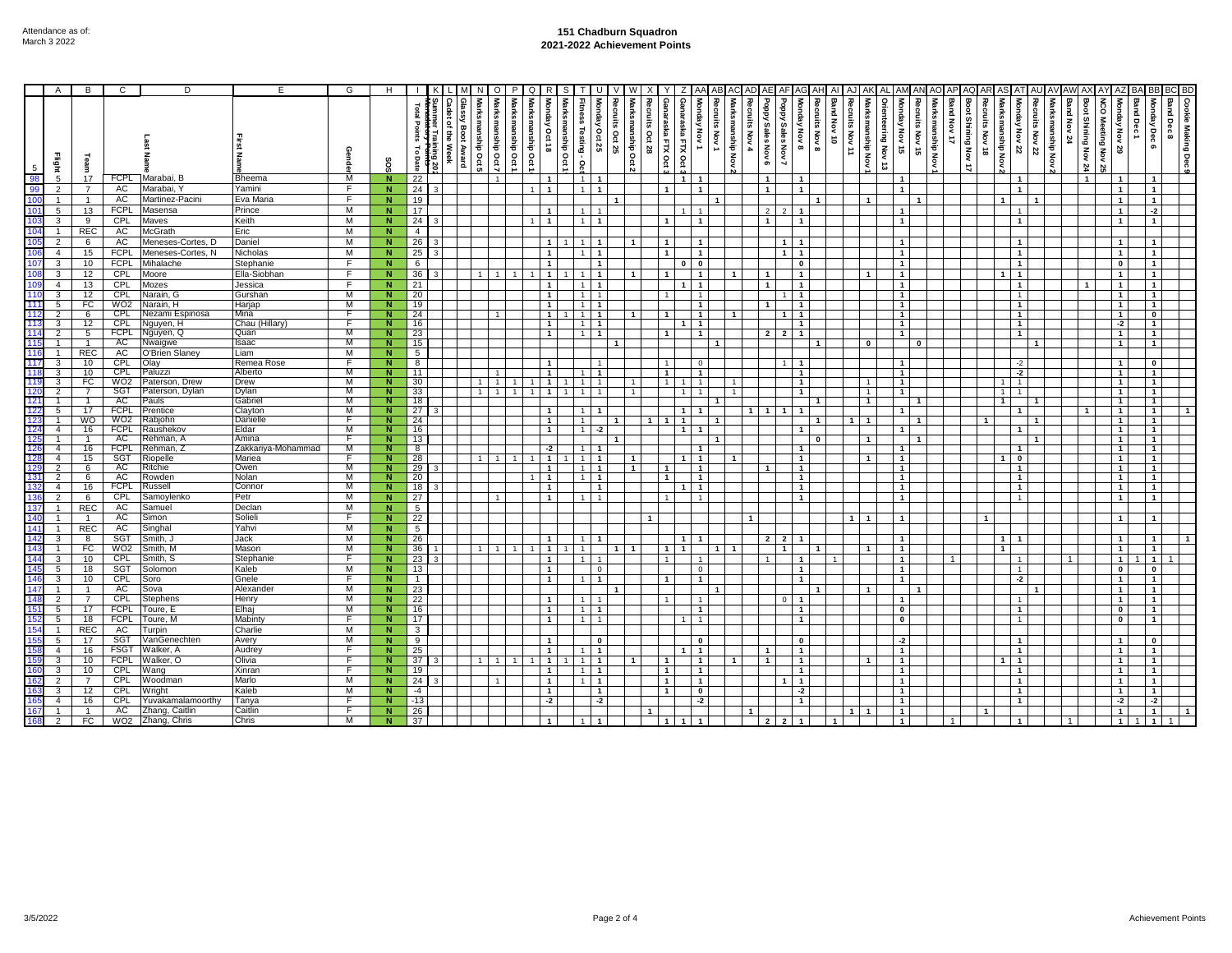## **151 Chadburn Squadron 2021-2022 Achievement Points**

|                        | $\mathsf{A}$   | B               | C                 | D                     | E                   | G       | H                       |                                           |                                   |                         | O                                        | <b>P</b>           | Q                              | R<br>S                                        |                                         |                                  |                   |                |                                                     |                                  |                                    |                      |                                                                 |                              |                |                                |                |                                                            |                      |                                 |                     |                          |                |                                                  |                  |             |                                       |                          |                              |                                  |                   |                   |
|------------------------|----------------|-----------------|-------------------|-----------------------|---------------------|---------|-------------------------|-------------------------------------------|-----------------------------------|-------------------------|------------------------------------------|--------------------|--------------------------------|-----------------------------------------------|-----------------------------------------|----------------------------------|-------------------|----------------|-----------------------------------------------------|----------------------------------|------------------------------------|----------------------|-----------------------------------------------------------------|------------------------------|----------------|--------------------------------|----------------|------------------------------------------------------------|----------------------|---------------------------------|---------------------|--------------------------|----------------|--------------------------------------------------|------------------|-------------|---------------------------------------|--------------------------|------------------------------|----------------------------------|-------------------|-------------------|
| 98                     | Flight to      | Team<br>17      | <b>FCPL</b>       | Marabai, B            | Bheema              | M       | SOS<br>N                | Total<br>Points<br>ನ<br><b>Date</b><br>22 | ٩<br>i al<br>뭉<br>ming 20<br>Week | Glassy<br>Boot<br>Award | Marksmanship Oct 7<br>Marksmanship Oct 5 | Marksmanship Oct 1 | Marksmanship<br>$\overline{5}$ | Marksmanship Oct 1<br>Monday<br><b>Oct 18</b> | Fitness Testing - Oct<br>$\overline{1}$ | Recruits Oct 25<br>Monday Oct 25 | Vlarksmanship Oct | mits<br>Oct 28 | Ganaraska FTX Oct<br>araska FTX Oct<br>$\mathbf{1}$ | Monday Nov 1                     | Recruits Nov 1<br>Marksmanship Nov | Recruits<br>Nov 4    | kddod<br>Addo-<br>Sales Nov 7<br>Sales<br>Nov 6<br>$\mathbf{1}$ | Monday Nov 8<br>$\mathbf{1}$ | Recruits Nov 8 | Band Nov 10<br>Recruits Nov 11 | manship Nov    | Monday<br>ering Nov<br>Nov 15<br>$\vec{r}$<br>$\mathbf{1}$ | Recruits Nov 15      | Marksmanship Nov<br>Band Nov 17 | Boot Shining Nov 17 | Recruits<br><b>RLAON</b> | rksmanship Nov | Recruits Nov 22<br>Monday Nov 22<br>$\mathbf{1}$ | Marksmanship Nov | Band Nov 24 | Boot Shining Nov 24<br>$\overline{1}$ | Ċ<br>ga).<br>Meeting Nov | <b>Band Dec</b><br>χōν<br>29 | Monday Dec 6<br>$\mathbf{1}$     | <b>Band Dec 8</b> | Cookie Making Dec |
|                        | $\overline{2}$ |                 | AC                | Marabai,              | Yamini              | F       | N                       | 24                                        |                                   |                         |                                          |                    | $\overline{1}$                 | $\overline{1}$                                | $\mathbf{1}$                            | $\overline{1}$                   |                   |                | $\mathbf{1}$                                        | $\mathbf{1}$                     |                                    |                      | $\mathbf{1}$                                                    | $\mathbf{1}$                 |                |                                |                | $\mathbf{1}$                                               |                      |                                 |                     |                          |                | $\mathbf{1}$                                     |                  |             |                                       |                          |                              | $\mathbf{1}$                     |                   |                   |
|                        | $\overline{1}$ | $\mathbf{1}$    | AC                | Martinez-Pacini       | Eva Maria           | F.      | N                       | 19                                        |                                   |                         |                                          |                    |                                |                                               |                                         | $\overline{1}$                   |                   |                |                                                     |                                  | $\overline{\mathbf{1}}$            |                      |                                                                 |                              | $\mathbf{1}$   |                                | $\overline{1}$ |                                                            | $\blacktriangleleft$ |                                 |                     |                          |                | $\overline{1}$                                   |                  |             |                                       | $\overline{\mathbf{1}}$  |                              | $\mathbf{1}$                     |                   |                   |
|                        | 5              | 13              | <b>FCPL</b>       | Masensa               | Prince              | M       | N.                      | 17                                        |                                   |                         |                                          |                    |                                |                                               | $\mathbf{1}$                            |                                  |                   |                |                                                     |                                  |                                    |                      | $\overline{2}$                                                  | $\mathbf{1}$                 |                |                                |                |                                                            |                      |                                 |                     |                          |                | 1                                                |                  |             |                                       |                          |                              | $-2$                             |                   |                   |
|                        | 3              | 9               | CPL               | Maves                 | Keith               | м       | N.                      | 24                                        |                                   |                         |                                          |                    | $\overline{1}$                 | $\mathbf{1}$                                  | $\overline{1}$                          | $\overline{1}$                   |                   |                | $\mathbf{1}$                                        | $\mathbf{1}$                     |                                    |                      | $\overline{1}$                                                  | $\mathbf 1$                  |                |                                |                | $\mathbf{1}$                                               |                      |                                 |                     |                          |                | $\overline{1}$                                   |                  |             |                                       |                          | $\overline{1}$               | $\overline{1}$                   |                   |                   |
|                        | $\overline{1}$ |                 | AC                | <b>McGrath</b>        | Eric                | M       | N                       | $\overline{4}$                            |                                   |                         |                                          |                    |                                |                                               |                                         |                                  |                   |                |                                                     |                                  |                                    |                      |                                                                 |                              |                |                                |                |                                                            |                      |                                 |                     |                          |                |                                                  |                  |             |                                       |                          |                              |                                  |                   |                   |
|                        | 2              | REC<br>6        | <b>AC</b>         | Meneses-Cortes, D     | Daniel              | M       |                         | 26                                        |                                   |                         |                                          |                    |                                |                                               |                                         |                                  | $\overline{1}$    |                |                                                     |                                  |                                    |                      |                                                                 | $\mathbf{1}$                 |                |                                |                | $\blacktriangleleft$                                       |                      |                                 |                     |                          |                | $\mathbf{1}$                                     |                  |             |                                       |                          |                              | $\mathbf{1}$                     |                   |                   |
|                        | $\overline{4}$ | 15              | <b>FCPL</b>       | Meneses-Cortes, N     | Nicholas            | M       | N<br>N.                 |                                           |                                   |                         |                                          |                    |                                | $\mathbf{1}$                                  |                                         | $\overline{1}$                   |                   |                | $\mathbf{1}$                                        | $\mathbf{1}$                     |                                    |                      |                                                                 | $\mathbf{1}$                 |                |                                |                | $\mathbf{1}$                                               |                      |                                 |                     |                          |                | 1                                                |                  |             |                                       |                          |                              |                                  |                   |                   |
|                        |                |                 |                   |                       |                     |         |                         | 25                                        |                                   |                         |                                          |                    |                                |                                               |                                         |                                  |                   |                |                                                     |                                  |                                    |                      |                                                                 |                              |                |                                |                |                                                            |                      |                                 |                     |                          |                |                                                  |                  |             |                                       |                          |                              | $\mathbf 1$                      |                   |                   |
|                        | 3              | 10              | <b>FCPL</b>       | Mihalache             | Stephanie           | F.<br>F | N                       | 6                                         |                                   |                         |                                          |                    |                                | $\overline{1}$                                |                                         | $\overline{1}$                   |                   |                | $\mathbf 0$                                         | $\mathbf 0$<br>$\mathbf{1}$      |                                    |                      |                                                                 | $\mathbf{0}$                 |                |                                |                | $\mathbf{1}$                                               |                      |                                 |                     |                          |                | $\overline{1}$                                   |                  |             |                                       | $\mathbf{a}$             |                              | $\overline{1}$                   |                   |                   |
|                        | 3              | 12              | CPL               | Moore                 | Ella-Siobhan        |         | N                       | 36                                        |                                   |                         | 1<br>$\overline{1}$                      |                    |                                | $\overline{1}$                                | $\mathbf{1}$                            | $\overline{1}$                   | $\overline{1}$    |                |                                                     |                                  |                                    | $\mathbf{1}$         | $\overline{1}$                                                  | $\mathbf{1}$                 |                |                                |                | $\mathbf{1}$                                               |                      |                                 |                     |                          |                | $\mathbf{1}$                                     |                  |             |                                       | $\overline{\mathbf{1}}$  |                              | $\overline{1}$                   |                   |                   |
| 110                    | $\overline{4}$ | 13              | CPL<br>CPL        | Mozes<br>Varain, G    | Jessica             | E<br>M  | N                       | 21                                        |                                   |                         |                                          |                    |                                | $\mathbf{1}$                                  | $\overline{1}$                          | $\overline{1}$                   |                   |                |                                                     | $\mathbf{1}$                     |                                    |                      | $\mathbf{1}$                                                    | $\mathbf{1}$                 |                |                                |                | $\mathbf{1}$                                               |                      |                                 |                     |                          |                | $\mathbf{1}$                                     |                  |             |                                       | $\overline{1}$           |                              | $\mathbf{1}$                     |                   |                   |
| 111                    | 3<br>5         | 12<br>FC        | WO <sub>2</sub>   | Varain, H             | Gurshan<br>Harjap   | М       | N<br>N                  | 20<br>19                                  |                                   |                         |                                          |                    |                                | $\mathbf{1}$<br>$\mathbf{1}$                  | $\mathbf{1}$                            |                                  |                   |                |                                                     | $\overline{1}$<br>$\overline{1}$ |                                    |                      | $\mathbf{1}$                                                    | 1<br>$\mathbf{1}$            |                |                                |                | $\mathbf{1}$<br>$\mathbf{1}$                               |                      |                                 |                     |                          |                | $\mathbf{1}$<br>$\overline{1}$                   |                  |             |                                       |                          |                              | $\overline{1}$<br>$\overline{1}$ |                   |                   |
| 112                    | $\overline{2}$ | 6               | <b>CPL</b>        | Vezami Espinosa       | Mina                | F.      | N                       | 24                                        |                                   |                         |                                          |                    |                                | $\overline{1}$                                | $\overline{1}$                          |                                  |                   |                | 1                                                   | $\mathbf{1}$                     |                                    | $\mathbf{1}$         |                                                                 | 1                            |                |                                |                | $\mathbf{1}$                                               |                      |                                 |                     |                          |                | $\mathbf{1}$                                     |                  |             |                                       |                          |                              | $\overline{\mathbf{0}}$          |                   |                   |
| 113                    | 3              | 12              | CPL               | Nguyen, H             | Chau (Hillary)      | 下       | N                       | 16                                        |                                   |                         |                                          |                    |                                | $\overline{1}$                                | $\overline{1}$                          | $\overline{\mathbf{1}}$          |                   |                |                                                     | $\overline{1}$                   |                                    |                      |                                                                 | $\overline{1}$               |                |                                |                | $\overline{1}$                                             |                      |                                 |                     |                          |                | $\overline{1}$                                   |                  |             |                                       |                          | $-2$                         | $\overline{1}$                   |                   |                   |
| 114                    | $\overline{2}$ | 5               | <b>FCPL</b>       | Nguyen, Q             | Quan                | М       | N                       | 23                                        |                                   |                         |                                          |                    |                                | $\overline{1}$                                | $\overline{1}$                          | $\overline{1}$                   |                   |                | $\mathbf{1}$                                        | $\overline{1}$                   |                                    |                      | $2 \mid 2$                                                      | $\overline{1}$               |                |                                |                | $\overline{1}$                                             |                      |                                 |                     |                          |                | $\overline{1}$                                   |                  |             |                                       |                          | $\overline{1}$               | $\overline{1}$                   |                   |                   |
| 115                    |                |                 | AC                | Vwaigwe               | saac                | M       | N                       | 15                                        |                                   |                         |                                          |                    |                                |                                               |                                         |                                  |                   |                |                                                     |                                  |                                    |                      |                                                                 |                              |                |                                |                |                                                            | $\mathbf{0}$         |                                 |                     |                          |                | $\mathbf{1}$                                     |                  |             |                                       |                          |                              | $\overline{1}$                   |                   |                   |
| 116                    | $\mathbf{1}$   | <b>REC</b>      | AC                | <b>O'Brien Slaney</b> | Liam                | M       | N                       | 5                                         |                                   |                         |                                          |                    |                                |                                               |                                         |                                  |                   |                |                                                     |                                  |                                    |                      |                                                                 |                              |                |                                |                |                                                            |                      |                                 |                     |                          |                |                                                  |                  |             |                                       |                          |                              |                                  |                   |                   |
| 117                    | 3              | 10              | CPL               | Olay                  | Remea Rose          | F       | Ν                       | $\overline{\mathbf{8}}$                   |                                   |                         |                                          |                    |                                | $\mathbf{1}$                                  |                                         |                                  |                   |                | 1                                                   | $\mathbf 0$                      |                                    |                      |                                                                 | 1                            |                |                                |                | $\mathbf{1}$                                               |                      |                                 |                     |                          |                | $-2$                                             |                  |             |                                       |                          | $\overline{1}$               | $\bullet$                        |                   |                   |
| 118                    |                | 10              | CPL               | Paluzzi               | Alberto             | М       | N                       | 11                                        |                                   |                         |                                          |                    |                                |                                               | $\mathbf{1}$                            | $\overline{1}$                   |                   |                | $\overline{1}$                                      | $\overline{1}$                   |                                    |                      |                                                                 | $\mathbf{1}$                 |                |                                |                | $\mathbf{1}$                                               |                      |                                 |                     |                          |                | $-2$                                             |                  |             |                                       |                          | $\mathbf{1}$                 | $\overline{1}$                   |                   |                   |
| 119                    | 3              | FC              | WO <sub>2</sub>   | Paterson, Drew        | Drew                | M       | N                       | 30                                        |                                   |                         | 1                                        |                    |                                | $\mathbf{1}$                                  |                                         |                                  |                   |                |                                                     |                                  |                                    |                      |                                                                 | 1                            |                |                                |                | $\mathbf{1}$                                               |                      |                                 |                     |                          |                | 1                                                |                  |             |                                       |                          | $\mathbf{1}$                 | $\overline{1}$                   |                   |                   |
| 120                    | $\overline{2}$ |                 | SGT               | Paterson, Dylan       | Dylan               | M       | N                       | 33                                        |                                   |                         | 1                                        |                    |                                | $\mathbf{1}$                                  |                                         |                                  |                   |                |                                                     | $\overline{1}$                   |                                    | $\overline{1}$       |                                                                 | $\mathbf{1}$                 |                |                                | $\overline{1}$ | $\overline{1}$                                             |                      |                                 |                     |                          |                | $\mathbf{1}$                                     |                  |             |                                       | $\mathbf{1}$             |                              | $\overline{1}$                   |                   |                   |
|                        | 5              |                 | AC<br><b>FCPL</b> | Pauls                 | Gabrie              | M<br>M  | Ñ<br>N                  | 18                                        |                                   |                         |                                          |                    |                                |                                               |                                         |                                  |                   |                |                                                     | $\overline{\mathbf{1}}$          |                                    |                      |                                                                 | $\mathbf{1}$                 |                |                                | $\overline{1}$ |                                                            | $\blacktriangleleft$ |                                 |                     |                          |                | $\overline{1}$                                   |                  |             |                                       | $\overline{1}$           |                              | $\overline{1}$                   |                   |                   |
|                        |                | 17<br><b>WO</b> | WO <sub>2</sub>   | Prentice<br>रabjohn   | Clayton<br>Danielle | F       | N                       | 27<br>24                                  |                                   |                         |                                          |                    |                                | -1                                            | -1                                      | -1                               |                   | $\mathbf{1}$   | $\mathbf{1}$                                        |                                  | $\mathbf{1}$                       | 1 <sup>1</sup>       | $\overline{1}$                                                  |                              | -1             |                                | 1   1          |                                                            | $\mathbf{1}$         |                                 |                     | $\mathbf{1}$             |                | $\mathbf{1}$<br>$\mathbf{1}$                     |                  |             |                                       |                          | $\overline{1}$               | $\overline{1}$<br>$\overline{1}$ |                   |                   |
| 124                    | $\overline{4}$ | 16              | <b>FCPL</b>       | Raushekov             | Eldar               | М       | N                       | 16                                        |                                   |                         |                                          |                    |                                | $\mathbf{1}$                                  | $\mathbf{1}$                            | $-2$                             |                   |                |                                                     | $\mathbf{1}$                     |                                    |                      |                                                                 |                              |                |                                |                | $\mathbf{1}$                                               |                      |                                 |                     |                          |                | $\mathbf{1}$                                     |                  |             |                                       |                          |                              | $\overline{1}$                   |                   |                   |
|                        |                |                 | AC                | Rehman, <i>i</i>      | Amina               | F       | N                       | 13                                        |                                   |                         |                                          |                    |                                |                                               |                                         | $\mathbf{1}$                     |                   |                |                                                     |                                  |                                    |                      |                                                                 |                              | $\mathbf 0$    |                                | $\overline{1}$ |                                                            | $\mathbf{1}$         |                                 |                     |                          |                | $\mathbf{1}$                                     |                  |             |                                       |                          |                              | $\overline{1}$                   |                   |                   |
|                        | $\overline{4}$ | 16              | <b>FCPL</b>       | Rehman, Z             | Zakkariya-Mohammad  | M       | Ν                       | 8                                         |                                   |                         |                                          |                    |                                | $-2$                                          | $\mathbf{1}$                            | $\mathbf{1}$                     |                   |                |                                                     | $\mathbf{1}$                     |                                    |                      |                                                                 | 1                            |                |                                |                | 1                                                          |                      |                                 |                     |                          |                | $\mathbf{1}$                                     |                  |             |                                       |                          | $\overline{1}$               | $\overline{1}$                   |                   |                   |
| 128                    | $\overline{4}$ | 15              | SGT               | Riopelle              | Mariea              | F       | N                       | 28                                        |                                   |                         | 1                                        |                    |                                | $\overline{1}$                                | $\overline{1}$                          |                                  | $\overline{1}$    |                | $\mathbf{1}$                                        | $\mathbf{1}$                     |                                    | $\overline{1}$       |                                                                 | $\mathbf{1}$                 |                |                                | $\mathbf{1}$   | $\mathbf{1}$                                               |                      |                                 |                     |                          |                | $\mathbf 0$                                      |                  |             |                                       |                          | $\overline{1}$               | $\overline{1}$                   |                   |                   |
| 129                    | 2              | 6               | AC                | Ritchie               | Owen                | M       | $\overline{\mathsf{N}}$ | 29                                        |                                   |                         |                                          |                    |                                | $\mathbf{1}$                                  |                                         |                                  | $\mathbf{1}$      |                | $\mathbf 1$                                         | $\mathbf{1}$                     |                                    |                      |                                                                 | $\mathbf{1}$                 |                |                                |                | $\mathbf{1}$                                               |                      |                                 |                     |                          |                | $\mathbf{1}$                                     |                  |             |                                       |                          |                              | $\overline{1}$                   |                   |                   |
| 13 <sup>2</sup>        | $\overline{2}$ | 6               | AC                | Rowden                | Nolan               | M       | N                       | 20                                        |                                   |                         |                                          |                    |                                | $\overline{1}$                                | 1 <sup>1</sup>                          | $\overline{1}$                   |                   |                | $\mathbf{1}$                                        | $\mathbf{1}$                     |                                    |                      |                                                                 | $\mathbf{1}$                 |                |                                |                | $\overline{1}$                                             |                      |                                 |                     |                          |                | $\overline{1}$                                   |                  |             |                                       | $\overline{1}$           |                              | $\overline{1}$                   |                   |                   |
| 132                    | $\overline{4}$ | 16              | <b>FCPL</b>       | Russell               | Connor              | M       | N                       | 18                                        |                                   |                         |                                          |                    |                                | $\overline{1}$                                |                                         | $\overline{1}$                   |                   |                |                                                     | $\overline{1}$                   |                                    |                      |                                                                 | $\overline{1}$               |                |                                |                | $\overline{1}$                                             |                      |                                 |                     |                          |                | $\overline{1}$                                   |                  |             |                                       | $\blacksquare$           |                              | $\overline{1}$                   |                   |                   |
|                        | 2              | 6               | CPL               | Samoylenko            | Petr                | M       | N                       | 27                                        |                                   |                         |                                          |                    |                                |                                               |                                         |                                  |                   |                |                                                     |                                  |                                    |                      |                                                                 | $\mathbf{1}$                 |                |                                |                | $\mathbf{1}$                                               |                      |                                 |                     |                          |                | $\mathbf{1}$                                     |                  |             |                                       |                          |                              | $\mathbf{1}$                     |                   |                   |
|                        |                | <b>REC</b>      | AC                | Samuel                | Declan              | M       | $\mathbf N$             | 5                                         |                                   |                         |                                          |                    |                                |                                               |                                         |                                  |                   |                |                                                     |                                  |                                    |                      |                                                                 |                              |                |                                |                |                                                            |                      |                                 |                     |                          |                |                                                  |                  |             |                                       |                          |                              |                                  |                   |                   |
|                        |                | $\overline{1}$  | AC                | Simon                 | Solieli             | F       | $\overline{N}$          | 22                                        |                                   |                         |                                          |                    |                                |                                               |                                         |                                  |                   |                |                                                     |                                  |                                    |                      |                                                                 |                              |                |                                | 1   1          | $\mathbf{1}$                                               |                      |                                 |                     | $\blacktriangleleft$     |                |                                                  |                  |             |                                       |                          |                              | $\mathbf{1}$                     |                   |                   |
| 141                    | $\mathbf{1}$   | <b>REC</b>      | AC                | Singhal               | Yahvi               | м       | N                       | 5                                         |                                   |                         |                                          |                    |                                |                                               |                                         |                                  |                   |                |                                                     |                                  |                                    |                      |                                                                 |                              |                |                                |                |                                                            |                      |                                 |                     |                          |                |                                                  |                  |             |                                       |                          |                              |                                  |                   |                   |
| 142                    | 3              | 8               | SGT               | Smith, J              | Jack                | M       | N                       | 26                                        |                                   |                         |                                          |                    |                                |                                               |                                         |                                  |                   |                | 1                                                   | $\overline{1}$                   |                                    |                      | $\overline{2}$<br>$\overline{2}$                                | $\mathbf{1}$                 |                |                                |                | $\mathbf{1}$                                               |                      |                                 |                     |                          |                | $\mathbf{1}$                                     |                  |             |                                       |                          |                              | $\mathbf{1}$                     |                   |                   |
| 14 <sub>2</sub><br>144 |                | FC              | WO2               | Smith, M              | Mason               | M<br>F  | Ñ                       | 36                                        |                                   |                         |                                          |                    |                                |                                               |                                         |                                  |                   |                |                                                     |                                  |                                    |                      |                                                                 |                              |                |                                | $\mathbf{1}$   | $\mathbf{1}$                                               |                      |                                 |                     |                          |                |                                                  |                  |             |                                       |                          | $\mathbf{1}$                 | $\overline{1}$                   |                   |                   |
| 145                    | 3              | 10              | <b>CPL</b><br>SGT | Smith, S              | Stephanie<br>Kaleb  | M       | <b>N</b>                | 23                                        |                                   |                         |                                          |                    |                                | $\mathbf{1}$                                  |                                         |                                  |                   |                |                                                     |                                  |                                    |                      |                                                                 | $\mathbf{1}$                 |                |                                |                | $\mathbf{1}$                                               |                      |                                 |                     |                          |                | $\mathbf{1}$                                     |                  |             |                                       |                          |                              | $\overline{1}$                   |                   |                   |
| 14                     | 5<br>3         | 18<br>10        | <b>CPL</b>        | Solomon<br>Soro       | Gnele               | -F      | N<br>N.                 | 13<br>$\mathbf{1}$                        |                                   |                         |                                          |                    |                                | $\mathbf{1}$<br>$\overline{1}$                |                                         | $\overline{1}$                   |                   |                | $\mathbf{1}$                                        | $\mathbf{0}$<br>$\mathbf{1}$     |                                    |                      |                                                                 |                              |                |                                |                | $\mathbf{1}$<br>$\mathbf{1}$                               |                      |                                 |                     |                          |                | $\mathbf{1}$<br>$-2$                             |                  |             |                                       | $\mathbf{u}$             |                              | $\pmb{0}$                        |                   |                   |
| 147                    |                |                 | AC                | Sova                  | Alexander           | M       | Ñ                       | 23                                        |                                   |                         |                                          |                    |                                |                                               |                                         |                                  |                   |                |                                                     |                                  |                                    |                      |                                                                 | 1                            |                |                                |                |                                                            |                      |                                 |                     |                          |                | -1                                               |                  |             |                                       |                          |                              | $\mathbf 1$<br>$\overline{1}$    |                   |                   |
|                        | $\overline{2}$ | $\overline{7}$  | CPL               | Stephens              | Henry               | M       | $\overline{N}$          | 22                                        |                                   |                         |                                          |                    |                                | $\overline{1}$                                | $\mathbf{1}$                            |                                  |                   |                |                                                     | $\blacktriangleleft$             |                                    |                      |                                                                 | $\mathbf{1}$<br>n.           |                |                                |                | $\mathbf{1}$                                               |                      |                                 |                     |                          |                | $\overline{1}$                                   |                  |             |                                       | $\overline{1}$           |                              | $\overline{1}$                   |                   |                   |
| 15 <sup>′</sup>        | 5              | 17              | <b>FCPL</b>       | Toure, E              | Elhaj               | M       | N.                      | 16                                        |                                   |                         |                                          |                    |                                | $\overline{1}$                                | 1                                       | $\overline{1}$                   |                   |                |                                                     | $\mathbf{1}$                     |                                    |                      |                                                                 | $\mathbf 1$                  |                |                                |                | $\mathbf 0$                                                |                      |                                 |                     |                          |                | $\mathbf{1}$                                     |                  |             |                                       | $\mathbf{0}$             |                              | 1 <sup>1</sup>                   |                   |                   |
|                        | 5              | 18              | <b>FCPL</b>       | Гоиrе, M              | Mabinty             | F       | N                       | 17                                        |                                   |                         |                                          |                    |                                | $\mathbf{1}$                                  |                                         |                                  |                   |                |                                                     | $\overline{1}$                   |                                    |                      |                                                                 | $\mathbf{1}$                 |                |                                |                | $\overline{\mathbf{0}}$                                    |                      |                                 |                     |                          |                | $\mathbf{1}$                                     |                  |             |                                       |                          | $\mathbf{0}$                 | $\overline{1}$                   |                   |                   |
|                        |                | <b>REC</b>      | AC                | urpin                 | Charlie             | M       | N                       | 3                                         |                                   |                         |                                          |                    |                                |                                               |                                         |                                  |                   |                |                                                     |                                  |                                    |                      |                                                                 |                              |                |                                |                |                                                            |                      |                                 |                     |                          |                |                                                  |                  |             |                                       |                          |                              |                                  |                   |                   |
|                        | 5              | 17              | <b>SGT</b>        | /anGenechten          | Avery               | M       | N                       | 9                                         |                                   |                         |                                          |                    |                                |                                               |                                         |                                  |                   |                |                                                     | $\mathbf{0}$                     |                                    |                      |                                                                 | $\mathbf{0}$                 |                |                                |                | -2                                                         |                      |                                 |                     |                          |                | $\overline{1}$                                   |                  |             |                                       |                          |                              | $\mathbf{0}$                     |                   |                   |
|                        | $\overline{4}$ | 16              | <b>FSGT</b>       | Walker, A             | Audrey              | F       | N                       | 25                                        |                                   |                         |                                          |                    |                                | $\mathbf{1}$                                  |                                         | $\overline{\mathbf{1}}$          |                   |                |                                                     | $\mathbf{1}$                     |                                    |                      | $\mathbf{1}$                                                    | $\mathbf{1}$                 |                |                                |                | $\mathbf{1}$                                               |                      |                                 |                     |                          |                | $\mathbf{1}$                                     |                  |             |                                       | $\overline{1}$           |                              | $\overline{1}$                   |                   |                   |
|                        | 3              | 10              | <b>FCPL</b>       | Valker, O             | Olivia              | -F      | N                       | 37                                        |                                   |                         |                                          |                    |                                | $\mathbf{1}$                                  |                                         | $\overline{1}$                   |                   |                |                                                     | $\mathbf 1$                      |                                    |                      | $\mathbf{1}$                                                    | 1                            |                |                                | $\mathbf{1}$   | $\mathbf{1}$                                               |                      |                                 |                     |                          |                | $\mathbf{1}$                                     |                  |             |                                       |                          |                              | $\mathbf 1$                      |                   |                   |
|                        | 3              | 10              | <b>CPL</b>        | Wang                  | Xinran              | F       | N                       | 19                                        |                                   |                         |                                          |                    |                                |                                               |                                         | $\overline{1}$                   |                   |                | $\mathbf{1}$                                        | $\mathbf{1}$                     |                                    |                      |                                                                 | $\mathbf{1}$                 |                |                                |                | $\mathbf{1}$                                               |                      |                                 |                     |                          |                | $\mathbf{1}$                                     |                  |             |                                       |                          |                              | $\overline{1}$                   |                   |                   |
|                        | 2              | $\overline{7}$  | <b>CPL</b>        | Woodman               | Marlo               | M       | N.                      | 24                                        |                                   |                         |                                          |                    |                                | $\mathbf{1}$                                  |                                         | $\overline{1}$                   |                   |                | $\mathbf{1}$                                        | $\mathbf{1}$                     |                                    |                      |                                                                 | $\overline{1}$               |                |                                |                | $\mathbf{1}$                                               |                      |                                 |                     |                          |                | $\mathbf{1}$                                     |                  |             |                                       |                          |                              | $\overline{1}$                   |                   |                   |
|                        | 3              | 12              | <b>CPL</b>        | Wright                | Kaleb               | М       | N                       | $-4$                                      |                                   |                         |                                          |                    |                                | $\overline{1}$                                |                                         | $\mathbf{1}$                     |                   |                | $\mathbf{1}$                                        | $\mathbf 0$                      |                                    |                      |                                                                 | -2                           |                |                                |                | $\mathbf{1}$                                               |                      |                                 |                     |                          |                | $\overline{1}$                                   |                  |             |                                       | $\overline{1}$           |                              | 1 <sup>1</sup>                   |                   |                   |
|                        | $\overline{4}$ | 16              | CPL               | Yuvakamalamoorthy     | Tanya               | F       | Ñ                       | $-13$                                     |                                   |                         |                                          |                    |                                | $-2$                                          |                                         | $-2$                             |                   |                |                                                     | $-2$                             |                                    |                      |                                                                 | $\mathbf{1}$                 |                |                                |                | $\overline{1}$                                             |                      |                                 |                     |                          |                | $\overline{1}$                                   |                  |             |                                       |                          | $-2$                         | $-2$                             |                   |                   |
|                        |                |                 | AC                | Zhang, Caitlin        | Caitlin             | F       | N                       | 26                                        |                                   |                         |                                          |                    |                                |                                               |                                         |                                  |                   |                |                                                     |                                  |                                    | $\blacktriangleleft$ |                                                                 |                              |                |                                |                | $\mathbf{1}$                                               |                      |                                 |                     | $\blacktriangleleft$     |                |                                                  |                  |             |                                       |                          |                              | $\mathbf{1}$                     |                   |                   |
| 165                    | $\overline{2}$ | FC              | WO <sub>2</sub>   | Zhang, Chris          | Chris               | M       | 'N                      | 37                                        |                                   |                         |                                          |                    |                                |                                               |                                         |                                  |                   |                | 1                                                   | $\mathbf{1}$                     |                                    |                      | $\overline{2}$<br>$\overline{\phantom{a}}$                      |                              |                |                                |                | $\mathbf{1}$                                               |                      |                                 |                     |                          |                |                                                  |                  |             |                                       |                          | $\overline{1}$               | $\overline{1}$                   |                   |                   |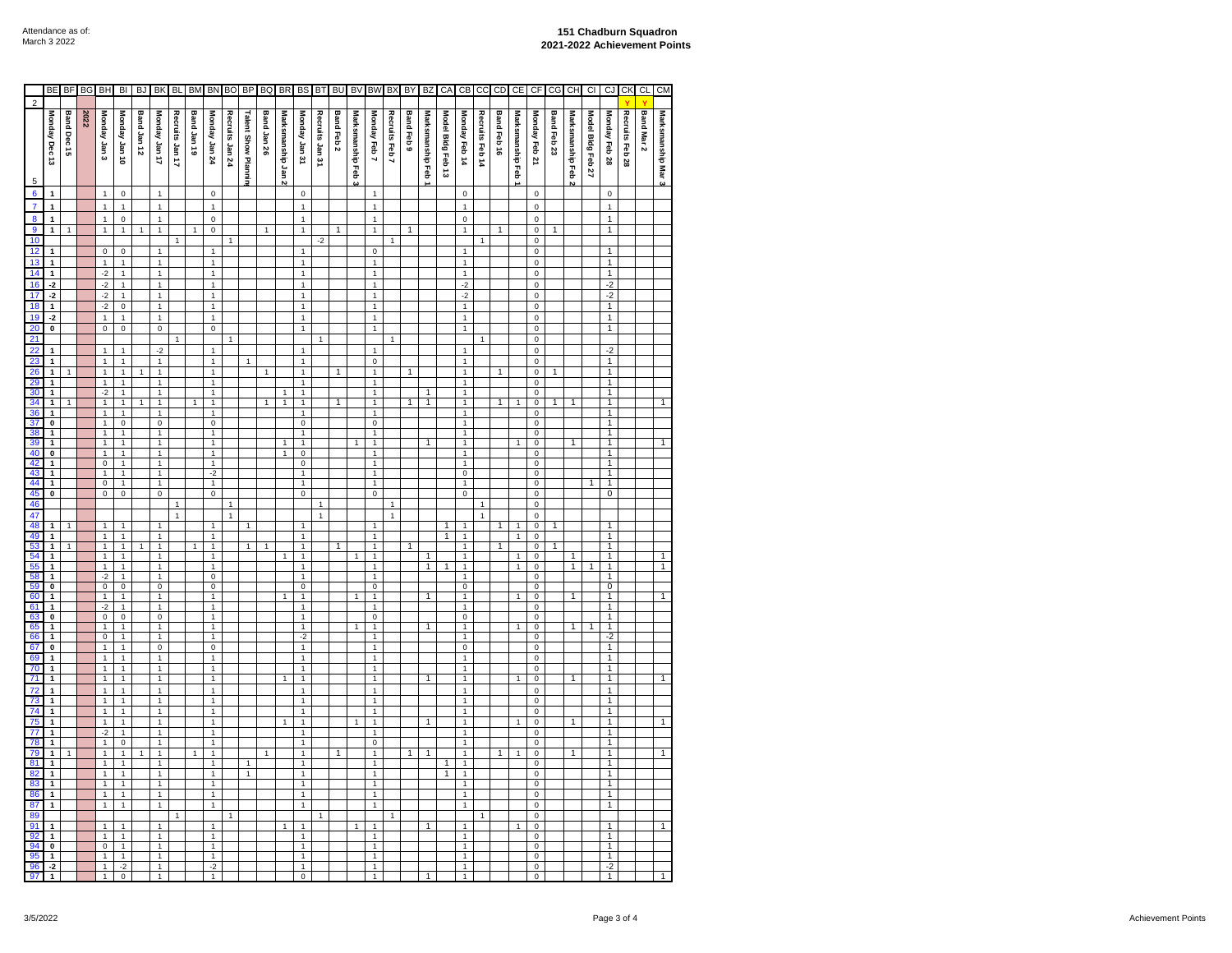|                                               | <b>BE</b>                                          | <b>BF</b>      | BG   | BH                                        | B <sub>l</sub>                            | <b>BJ</b>   | BK                                      | <b>BL</b>       | <b>BM</b>    | <b>BN</b>                               | <b>BO</b>       | BP                         | BQ           | BR                  | BS                                   | BT              | BU             | BV                 | BW                               | BX             | BY           | BZ                | CA                | CB                               | cc              | CD             | CE               | CF                                           | CG          | CH                | C1                | CJ                               | CK              | CL         | <b>CM</b>          |
|-----------------------------------------------|----------------------------------------------------|----------------|------|-------------------------------------------|-------------------------------------------|-------------|-----------------------------------------|-----------------|--------------|-----------------------------------------|-----------------|----------------------------|--------------|---------------------|--------------------------------------|-----------------|----------------|--------------------|----------------------------------|----------------|--------------|-------------------|-------------------|----------------------------------|-----------------|----------------|------------------|----------------------------------------------|-------------|-------------------|-------------------|----------------------------------|-----------------|------------|--------------------|
| $\overline{2}$                                |                                                    |                |      |                                           |                                           |             |                                         |                 |              |                                         |                 |                            |              |                     |                                      |                 |                |                    |                                  |                |              |                   |                   |                                  |                 |                |                  |                                              |             |                   |                   |                                  |                 |            |                    |
|                                               | Monday Dec 13                                      | Band Dec 15    | 2022 | Monday Jan 3                              | 01 uer Aepuo                              | Band Jan 12 | <b>Monday Jan 17</b>                    | Recruits Jan 17 | Band Jan 19  | Monday Jan 24                           | Recruits Jan 24 | <b>Talent Show Plannin</b> | Band Jan 26  | Marksmanship Jan 2  | Monday Jan 31                        | Recruits Jan 31 | Band Feb 2     | Marksmanship Feb 3 | Monday Feb 7                     | Recruits Feb 7 | Band Feb 9   | Marksmanship Feb  | Model Bldg Feb 13 | Monday Feb 14                    | Recruits Feb 14 | Band Feb 16    | Marksmanship Feb | Monday Feb 21                                | Band Feb 23 | Marksmanship Feb: | Model Bidg Feb 27 | Monday Feb 28                    | Recruits Feb 28 | Band Mar 2 | Marksmanship Mar 3 |
| $\overline{5}$                                |                                                    |                |      |                                           |                                           |             |                                         |                 |              |                                         |                 |                            |              |                     |                                      |                 |                |                    |                                  |                |              |                   |                   |                                  |                 |                |                  |                                              |             |                   |                   |                                  |                 |            |                    |
| $6\overline{6}$                               | $\mathbf{1}$                                       |                |      | $\mathbf{1}$                              | $\mathsf 0$                               |             | $\mathbf{1}$                            |                 |              | $\mathsf 0$                             |                 |                            |              |                     | $\mathsf 0$                          |                 |                |                    | $\mathbf{1}$                     |                |              |                   |                   | $\mathsf 0$                      |                 |                |                  | $\mathsf{O}\xspace$                          |             |                   |                   | 0                                |                 |            |                    |
| $\overline{7}$                                | $\mathbf{1}$                                       |                |      | $\mathbf{1}$                              | $\mathbf{1}$                              |             | $\mathbf{1}$                            |                 |              | $\mathbf{1}$                            |                 |                            |              |                     | $\mathbf{1}$                         |                 |                |                    | $\mathbf{1}$                     |                |              |                   |                   | $\mathbf{1}$                     |                 |                |                  | $\mathsf 0$                                  |             |                   |                   | $\mathbf{1}$                     |                 |            |                    |
| $\overline{\mathbf{8}}$                       | $\mathbf{1}$                                       |                |      | $\mathbf{1}$                              | $\mathbf 0$                               |             | $\mathbf{1}$                            |                 |              | $\pmb{0}$                               |                 |                            |              |                     | $\mathbf{1}$                         |                 |                |                    | $\mathbf{1}$                     |                |              |                   |                   | $\mathsf 0$                      |                 |                |                  | $\mathbf 0$                                  |             |                   |                   | $\mathbf{1}$                     |                 |            |                    |
| 9<br>10                                       | $\overline{1}$                                     |                |      | $\overline{1}$                            | $\overline{1}$                            |             | $\overline{1}$                          | $\mathbf{1}$    |              | $\overline{\mathbf{0}}$                 | 1               |                            | $\mathbf{1}$ |                     | $\overline{1}$                       | $-2$            | $\overline{1}$ |                    | $\overline{1}$                   | $\mathbf{1}$   | $\mathbf{1}$ |                   |                   | $\overline{1}$                   | $\mathbf{1}$    | $\overline{1}$ |                  | $\mathsf 0$<br>$\mathsf 0$                   |             |                   |                   | $\overline{1}$                   |                 |            |                    |
| 12                                            | $\mathbf{1}$                                       |                |      | $\mathsf 0$                               | $\pmb{0}$                                 |             | $\mathbf{1}$                            |                 |              | $\mathbf{1}$                            |                 |                            |              |                     | $\mathbf{1}$                         |                 |                |                    | $\pmb{0}$                        |                |              |                   |                   | $\mathbf{1}$                     |                 |                |                  | $\mathsf 0$                                  |             |                   |                   | $\mathbf{1}$                     |                 |            |                    |
| 13                                            | $\overline{1}$                                     |                |      | $\mathbf{1}$                              | $\mathbf{1}$                              |             | $\mathbf{1}$                            |                 |              | $\mathbf{1}$                            |                 |                            |              |                     | $\mathbf{1}$                         |                 |                |                    | $\mathbf{1}$                     |                |              |                   |                   | $\mathbf{1}$                     |                 |                |                  | 0                                            |             |                   |                   | $\overline{1}$                   |                 |            |                    |
| $\frac{14}{16}$                               | $\mathbf 1$                                        |                |      | $-2$                                      | $\mathbf{1}$                              |             | $\mathbf{1}$                            |                 |              | $\mathbf{1}$                            |                 |                            |              |                     | 1                                    |                 |                |                    | $\mathbf{1}$                     |                |              |                   |                   | $\mathbf{1}$                     |                 |                |                  | 0                                            |             |                   |                   | $\mathbf{1}$                     |                 |            |                    |
|                                               | $-2$                                               |                |      | $-2$                                      | $\mathbf{1}$                              |             | $\mathbf{1}$                            |                 |              | $\mathbf{1}$                            |                 |                            |              |                     | 1                                    |                 |                |                    | $\mathbf{1}$                     |                |              |                   |                   | $-2$                             |                 |                |                  | $\mathsf 0$                                  |             |                   |                   | $-2$                             |                 |            |                    |
|                                               | $-2$                                               |                |      | $-2$                                      | $\mathbf{1}$                              |             | $\mathbf{1}$                            |                 |              | $\mathbf{1}$                            |                 |                            |              |                     | 1                                    |                 |                |                    | $\mathbf{1}$                     |                |              |                   |                   | $-2$                             |                 |                |                  | $\pmb{0}$                                    |             |                   |                   | $-2$                             |                 |            |                    |
| 18                                            | $\mathbf{1}$                                       |                |      | $-2$                                      | $\overline{\mathbf{0}}$                   |             | $\mathbf{1}$                            |                 |              | $\mathbf{1}$                            |                 |                            |              |                     | 1                                    |                 |                |                    | $\mathbf{1}$                     |                |              |                   |                   | $\mathbf{1}$                     |                 |                |                  | $\overline{0}$                               |             |                   |                   | $\overline{1}$                   |                 |            |                    |
| 19<br>20                                      | $-2$<br>$\pmb{0}$                                  |                |      | $\overline{1}$<br>$\overline{\mathbf{0}}$ | $\mathbf{1}$<br>$\overline{\mathbf{0}}$   |             | $\mathbf{1}$<br>$\overline{\mathbf{0}}$ |                 |              | $\mathbf{1}$<br>$\overline{\mathbf{0}}$ |                 |                            |              |                     | $\mathbf{1}$<br>$\overline{1}$       |                 |                |                    | $\mathbf{1}$<br>$\overline{1}$   |                |              |                   |                   | $\mathbf 1$<br>$\overline{1}$    |                 |                |                  | $\overline{0}$<br>$\overline{\text{o}}$      |             |                   |                   | $\mathbf{1}$<br>$\overline{1}$   |                 |            |                    |
| 21                                            |                                                    |                |      |                                           |                                           |             |                                         | 1               |              |                                         | 1               |                            |              |                     |                                      | 1               |                |                    |                                  | 1              |              |                   |                   |                                  | $\mathbf{1}$    |                |                  | 0                                            |             |                   |                   |                                  |                 |            |                    |
| 22                                            | $\mathbf{1}$                                       |                |      | $\mathbf 1$                               | $\mathbf{1}$                              |             | $-2$                                    |                 |              | $\mathbf{1}$                            |                 |                            |              |                     | $\mathbf{1}$                         |                 |                |                    | $\mathbf{1}$                     |                |              |                   |                   | $\mathbf{1}$                     |                 |                |                  | $\mathsf 0$                                  |             |                   |                   | $-2$                             |                 |            |                    |
| 23                                            | $\overline{1}$                                     |                |      | $\overline{1}$                            | $\overline{1}$                            |             | $\mathbf{1}$                            |                 |              | $\mathbf{1}$                            |                 | 1                          |              |                     | $\mathbf{1}$                         |                 |                |                    | $\overline{\text{o}}$            |                |              |                   |                   | $\overline{1}$                   |                 |                |                  | $\mathsf 0$                                  |             |                   |                   | $\overline{1}$                   |                 |            |                    |
| $\frac{26}{29}$                               | $\mathbf{1}$                                       |                |      | $\mathbf{1}$                              | $\mathbf{1}$                              |             | $\mathbf{1}$                            |                 |              | $\mathbf{1}$                            |                 |                            | 1            |                     | $\mathbf{1}$                         |                 | 1              |                    | $\mathbf{1}$                     |                | 1            |                   |                   | $\mathbf{1}$                     |                 | 1              |                  | 0                                            |             |                   |                   | $\mathbf{1}$                     |                 |            |                    |
|                                               | $\mathbf{1}$                                       |                |      | $\mathbf{1}$                              | $\overline{1}$                            |             | $\mathbf{1}$                            |                 |              | $\mathbf{1}$                            |                 |                            |              |                     | $\mathbf{1}$                         |                 |                |                    | $\mathbf{1}$                     |                |              |                   |                   | $\mathbf{1}$                     |                 |                |                  | 0                                            |             |                   |                   | $\overline{1}$                   |                 |            |                    |
| 30                                            | $\overline{1}$<br>$\overline{1}$                   |                |      | $-2$<br>$\overline{1}$                    | $\overline{1}$<br>$\overline{1}$          |             | $\overline{1}$<br>$\overline{1}$        |                 | 1            | $\mathbf{1}$<br>$\overline{1}$          |                 |                            | $\mathbf{1}$ | 1<br>$\overline{1}$ | $\overline{1}$<br>$\overline{1}$     |                 | $\overline{1}$ |                    | $\overline{1}$<br>$\overline{1}$ |                | 1            | $\mathbf{1}$<br>1 |                   | $\overline{1}$<br>$\overline{1}$ |                 | 1              | $\overline{1}$   | $\overline{0}$<br>$\pmb{0}$                  | 1           | $\overline{1}$    |                   | $\overline{1}$<br>$\overline{1}$ |                 |            | 1                  |
|                                               | $\overline{1}$                                     |                |      | $\overline{1}$                            | 1                                         |             | $\overline{1}$                          |                 |              | $\overline{1}$                          |                 |                            |              |                     | 1                                    |                 |                |                    | $\overline{1}$                   |                |              |                   |                   | $\overline{1}$                   |                 |                |                  | $\pmb{0}$                                    |             |                   |                   | 1                                |                 |            |                    |
| $\frac{34}{36}$ $\frac{37}{37}$               | $\mathbf 0$                                        |                |      | $\mathbf{1}$                              | $\pmb{0}$                                 |             | 0                                       |                 |              | $\mathsf 0$                             |                 |                            |              |                     | $\mathsf 0$                          |                 |                |                    | $\mathsf 0$                      |                |              |                   |                   | $\mathbf{1}$                     |                 |                |                  | $\mathbf 0$                                  |             |                   |                   | $\mathbf{1}$                     |                 |            |                    |
|                                               | $\mathbf{1}$                                       |                |      | $\mathbf{1}$                              | $\mathbf{1}$                              |             | $\mathbf{1}$                            |                 |              | $\mathbf{1}$                            |                 |                            |              |                     | 1                                    |                 |                |                    | $\mathbf{1}$                     |                |              |                   |                   | $\mathbf{1}$                     |                 |                |                  | 0                                            |             |                   |                   | $\mathbf{1}$                     |                 |            |                    |
| $\frac{39}{40}$                               | $\overline{1}$                                     |                |      | $\overline{1}$                            | $\overline{1}$                            |             | $\overline{1}$                          |                 |              | $\overline{1}$                          |                 |                            |              | $\mathbf{1}$        | $\overline{1}$                       |                 |                | 1                  | $\overline{1}$                   |                |              | 1                 |                   | $\overline{1}$                   |                 |                | $\overline{1}$   | $\overline{\mathbf{0}}$                      |             | 1                 |                   | $\overline{1}$                   |                 |            | 1                  |
|                                               | $\overline{\mathbf{0}}$<br>$\overline{\mathbf{1}}$ |                |      | 1<br>$\overline{\text{o}}$                | $\overline{1}$<br>$\overline{1}$          |             | $\overline{1}$<br>$\mathbf{1}$          |                 |              | $\overline{1}$<br>$\mathbf{1}$          |                 |                            |              | $\overline{1}$      | $\overline{\mathbf{0}}$<br>$\pmb{0}$ |                 |                |                    | $\overline{1}$<br>$\overline{1}$ |                |              |                   |                   | $\overline{1}$<br>$\overline{1}$ |                 |                |                  | $\pmb{0}$<br>$\mathsf 0$                     |             |                   |                   | $\overline{1}$<br>$\overline{1}$ |                 |            |                    |
| $\frac{42}{43}$                               | $\overline{1}$                                     |                |      | $\overline{1}$                            | $\overline{1}$                            |             | $\overline{1}$                          |                 |              | $-2$                                    |                 |                            |              |                     | $\overline{1}$                       |                 |                |                    | $\overline{1}$                   |                |              |                   |                   | $\overline{\text{o}}$            |                 |                |                  | 0                                            |             |                   |                   | 1                                |                 |            |                    |
| 44                                            | $\overline{1}$                                     |                |      | 0                                         | $\overline{1}$                            |             | $\mathbf{1}$                            |                 |              | $\mathbf{1}$                            |                 |                            |              |                     | $\mathbf{1}$                         |                 |                |                    | $\overline{1}$                   |                |              |                   |                   | $\mathbf{1}$                     |                 |                |                  | $\overline{0}$                               |             |                   |                   | $\overline{1}$                   |                 |            |                    |
| 45                                            | $\overline{\mathbf{0}}$                            |                |      | $\overline{0}$                            | $\overline{0}$                            |             | $\overline{0}$                          |                 |              | $\overline{0}$                          |                 |                            |              |                     | $\overline{0}$                       |                 |                |                    | $\pmb{0}$                        |                |              |                   |                   | $\pmb{0}$                        |                 |                |                  | $\pmb{0}$                                    |             |                   |                   | $\overline{0}$                   |                 |            |                    |
| 46                                            |                                                    |                |      |                                           |                                           |             |                                         | $\mathbf{1}$    |              |                                         | 1               |                            |              |                     |                                      | $\mathbf{1}$    |                |                    |                                  | $\mathbf{1}$   |              |                   |                   |                                  | $\mathbf{1}$    |                |                  | $\overline{\text{o}}$                        |             |                   |                   |                                  |                 |            |                    |
| 47<br>48                                      | $\mathbf{1}$                                       |                |      | $\mathbf{1}$                              | $\mathbf{1}$                              |             | $\mathbf{1}$                            | $\mathbf{1}$    |              | $\mathbf{1}$                            | $\mathbf{1}$    | 1                          |              |                     | $\mathbf{1}$                         | $\mathbf{1}$    |                |                    | $\mathbf{1}$                     | $\mathbf{1}$   |              |                   | 1                 | $\mathbf{1}$                     | $\mathbf{1}$    | 1              | $\mathbf{1}$     | $\mathsf{o}\xspace$<br>$\pmb{0}$             |             |                   |                   | 1                                |                 |            |                    |
| 49                                            | $\overline{1}$                                     |                |      | $\overline{1}$                            | $\overline{1}$                            |             | $\overline{1}$                          |                 |              | $\overline{1}$                          |                 |                            |              |                     | $\overline{1}$                       |                 |                |                    | $\overline{1}$                   |                |              |                   | 1                 | $\overline{1}$                   |                 |                | $\mathbf{1}$     | $\overline{0}$                               |             |                   |                   | $\overline{1}$                   |                 |            |                    |
| 53                                            | $\overline{1}$                                     | $\overline{1}$ |      | $\overline{1}$                            | $\overline{1}$                            |             | $\overline{1}$                          |                 | $\mathbf{1}$ | $\overline{1}$                          |                 | $\overline{1}$             | 1            |                     | $\overline{1}$                       |                 | 1              |                    | $\overline{1}$                   |                | 1            |                   |                   | $\overline{1}$                   |                 | 1              |                  | $\pmb{0}$                                    | 1           |                   |                   | $\overline{1}$                   |                 |            |                    |
| 54<br>55<br>58<br>58<br>59                    | $\frac{1}{1}$                                      |                |      | $\frac{1}{1}$                             | $\frac{1}{1}$                             |             | $\mathbf{1}$                            |                 |              | $\mathbf{1}$                            |                 |                            |              |                     | $\mathbf{1}$                         |                 |                | 1                  | $\overline{1}$                   |                |              | 1                 |                   | $\overline{1}$                   |                 |                | 1                | $\overline{\mathbf{0}}$                      |             | 1                 |                   | $\frac{1}{1}$                    |                 |            | 1                  |
|                                               | $\overline{\mathbf{1}}$                            |                |      | -2                                        | $\overline{1}$                            |             | $\mathbf{1}$<br>1                       |                 |              | $\mathbf{1}$<br>$\overline{\mathbf{0}}$ |                 |                            |              |                     | $\mathbf{1}$<br>1                    |                 |                |                    | $\overline{1}$<br>$\mathbf{1}$   |                |              | $\overline{1}$    | 1                 | $\mathbf 1$<br>1                 |                 |                | $\mathbf{1}$     | 0<br>0                                       |             | $\overline{1}$    | 1                 | 1                                |                 |            | $\overline{1}$     |
|                                               | $\overline{\mathbf{0}}$                            |                |      | $\overline{0}$                            | $\pmb{0}$                                 |             | $\overline{\mathbf{0}}$                 |                 |              | $\overline{\mathbf{0}}$                 |                 |                            |              |                     | $\overline{\text{o}}$                |                 |                |                    | $\overline{\mathbf{0}}$          |                |              |                   |                   | $\overline{0}$                   |                 |                |                  | $\overline{\mathbf{0}}$                      |             |                   |                   | $\overline{0}$                   |                 |            |                    |
|                                               | $\overline{\mathbf{1}}$                            |                |      | $\mathbf{1}$                              | $\overline{1}$                            |             | $\mathbf{1}$                            |                 |              | $\mathbf{1}$                            |                 |                            |              |                     | 1                                    |                 |                | 1                  | $\overline{1}$                   |                |              | $\mathbf{1}$      |                   | $\overline{1}$                   |                 |                | 1                | $\overline{0}$                               |             | 1                 |                   | $\overline{1}$                   |                 |            |                    |
| $\begin{array}{r} 60 \\ 61 \\ 63 \end{array}$ | $\overline{1}$                                     |                |      | $\frac{-2}{0}$                            | $\overline{1}$                            |             | 1                                       |                 |              | $\overline{1}$                          |                 |                            |              |                     | 1                                    |                 |                |                    | $\overline{1}$                   |                |              |                   |                   | $\overline{1}$                   |                 |                |                  | 0                                            |             |                   |                   | 1                                |                 |            |                    |
|                                               | $\overline{\mathbf{0}}$<br>$\overline{1}$          |                |      | $\overline{1}$                            | $\overline{\mathbf{0}}$<br>$\overline{1}$ |             | $\overline{0}$<br>$\overline{1}$        |                 |              | $\overline{1}$<br>$\overline{1}$        |                 |                            |              |                     | $\overline{1}$<br>$\overline{1}$     |                 |                | $\mathbf{1}$       | $\pmb{0}$<br>$\overline{1}$      |                |              | $\mathbf{1}$      |                   | $\pmb{0}$<br>$\overline{1}$      |                 |                | $\mathbf{1}$     | $\pmb{0}$<br>$\overline{0}$                  |             |                   | 1                 | $\overline{1}$<br>$\overline{1}$ |                 |            |                    |
| $\frac{65}{66}$                               | $\overline{1}$                                     |                |      | $\overline{\mathbf{0}}$                   | $\overline{1}$                            |             | $\overline{1}$                          |                 |              | $\overline{1}$                          |                 |                            |              |                     | $-2$                                 |                 |                |                    | $\overline{1}$                   |                |              |                   |                   | $\overline{1}$                   |                 |                |                  | $\overline{\mathbf{0}}$                      |             | $\overline{1}$    |                   | $-2$                             |                 |            |                    |
| 67                                            | $\overline{\mathbf{0}}$                            |                |      | $\mathbf{1}$                              | $\mathbf{1}$                              |             | $\overline{\mathbf{0}}$                 |                 |              | $\overline{\mathbf{0}}$                 |                 |                            |              |                     | $\mathbf{1}$                         |                 |                |                    | $\mathbf{1}$                     |                |              |                   |                   | $\overline{\mathbf{0}}$          |                 |                |                  | $\overline{\mathbf{0}}$                      |             |                   |                   | $\overline{1}$                   |                 |            |                    |
|                                               | $\overline{1}$                                     |                |      | $\mathbf{1}$                              | $\mathbf{1}$                              |             | $\mathbf{1}$                            |                 |              | $\mathbf{1}$                            |                 |                            |              |                     | 1                                    |                 |                |                    | $\mathbf{1}$                     |                |              |                   |                   | $\mathbf{1}$                     |                 |                |                  | $\overline{\text{o}}$                        |             |                   |                   | $\overline{1}$                   |                 |            |                    |
|                                               | $\overline{1}$                                     |                |      | $\overline{1}$                            | $\overline{1}$                            |             | $\mathbf{1}$                            |                 |              | $\mathbf{1}$                            |                 |                            |              |                     | $\mathbf{1}$                         |                 |                |                    | $\mathbf{1}$                     |                |              |                   |                   | $\overline{1}$                   |                 |                |                  | $\overline{\mathbf{0}}$                      |             |                   |                   | 1                                |                 |            |                    |
|                                               | $\overline{1}$<br>$\overline{1}$                   |                |      | $\overline{1}$<br>$\overline{1}$          | $\overline{1}$<br>$\overline{1}$          |             | $\overline{1}$<br>$\mathbf{1}$          |                 |              | $\overline{1}$<br>$\mathbf{1}$          |                 |                            |              |                     | $\overline{1}$<br>$\mathbf{1}$       |                 |                |                    | $\overline{1}$<br>$\mathbf{1}$   |                |              | 1                 |                   | $\overline{1}$<br>$\mathbf{1}$   |                 |                | $\mathbf{1}$     | 0                                            |             | 1                 |                   | 1<br>$\overline{1}$              |                 |            | 1                  |
|                                               | $\overline{1}$                                     |                |      | 1                                         | $\overline{1}$                            |             | $\mathbf{1}$                            |                 |              | $\mathbf{1}$                            |                 |                            |              |                     | 1                                    |                 |                |                    | $\mathbf{1}$                     |                |              |                   |                   | $\mathbf{1}$                     |                 |                |                  | $\mathsf{o}\xspace$<br>$\overline{\text{o}}$ |             |                   |                   | 1                                |                 |            |                    |
|                                               | $\overline{1}$                                     |                |      | 1                                         | $\overline{1}$                            |             | $\mathbf{1}$                            |                 |              | $\mathbf{1}$                            |                 |                            |              |                     | $\mathbf{1}$                         |                 |                |                    | $\mathbf{1}$                     |                |              |                   |                   | $\overline{1}$                   |                 |                |                  | $\overline{\text{o}}$                        |             |                   |                   | 1                                |                 |            |                    |
|                                               | $\overline{\mathbf{1}}$                            |                |      | 1                                         | $\overline{1}$                            |             | $\overline{1}$                          |                 |              | $\overline{1}$                          |                 |                            |              |                     | 1                                    |                 |                |                    | $\overline{1}$                   |                |              | $\overline{1}$    |                   | $\overline{1}$                   |                 |                | 1                | $\overline{\mathbf{0}}$                      |             | 1                 |                   | 1                                |                 |            | $\mathbf{1}$       |
|                                               | $\mathbf{1}$                                       |                |      | $-2$                                      | $\mathbf{1}$                              |             | $\mathbf{1}$                            |                 |              | $\mathbf{1}$                            |                 |                            |              |                     | $\mathbf{1}$                         |                 |                |                    | $\mathbf{1}$                     |                |              |                   |                   | $\mathbf{1}$                     |                 |                |                  | 0                                            |             |                   |                   | $\mathbf{1}$                     |                 |            |                    |
| 69 70 71 72 73 74 75 77 78 79 81 82           | $\overline{\mathbf{1}}$                            |                |      | $\overline{1}$                            | $\pmb{0}$                                 |             | $\mathbf{1}$                            |                 |              | $\mathbf{1}$                            |                 |                            |              |                     | $\mathbf{1}$                         |                 |                |                    | $\pmb{0}$                        |                |              |                   |                   | $\mathbf{1}$                     |                 |                |                  | 0                                            |             |                   |                   | $\overline{1}$                   |                 |            |                    |
|                                               | $\overline{1}$<br>$\overline{\mathbf{1}}$          |                |      | 1<br>1                                    | $\mathbf{1}$<br>1                         |             | $\mathbf{1}$<br>$\overline{1}$          |                 |              | $\mathbf{1}$<br>$\overline{1}$          |                 | 1                          | 1            |                     | $\mathbf{1}$<br>1                    |                 | 1              |                    | $\mathbf{1}$<br>$\overline{1}$   |                | 1            | $\mathbf{1}$      | 1                 | $\mathbf 1$<br>$\overline{1}$    |                 | 1              | $\mathbf{1}$     | 0<br>0                                       |             | 1                 |                   | $\overline{1}$<br>$\overline{1}$ |                 |            | $\mathbf{1}$       |
|                                               | $\overline{1}$                                     |                |      | $\mathbf{1}$                              | $\overline{1}$                            |             | $\mathbf{1}$                            |                 |              | $\mathbf{1}$                            |                 | 1                          |              |                     | $\mathbf{1}$                         |                 |                |                    | $\mathbf{1}$                     |                |              |                   | 1                 | $\mathbf{1}$                     |                 |                |                  | $\pmb{0}$                                    |             |                   |                   | $\overline{1}$                   |                 |            |                    |
| 83                                            | $\overline{1}$                                     |                |      | $\mathbf 1$                               | $\overline{1}$                            |             | $\mathbf{1}$                            |                 |              | $\mathbf{1}$                            |                 |                            |              |                     | $\mathbf{1}$                         |                 |                |                    | $\mathbf 1$                      |                |              |                   |                   | $\mathbf 1$                      |                 |                |                  | 0                                            |             |                   |                   | $\overline{1}$                   |                 |            |                    |
| 86                                            | $\overline{1}$                                     |                |      | $\overline{1}$                            | $\overline{1}$                            |             | $\overline{1}$                          |                 |              | $\overline{1}$                          |                 |                            |              |                     | $\mathbf{1}$                         |                 |                |                    | $\overline{1}$                   |                |              |                   |                   | $\overline{1}$                   |                 |                |                  | $\mathbf 0$                                  |             |                   |                   | $\overline{1}$                   |                 |            |                    |
| 87                                            | $\overline{1}$                                     |                |      | $\overline{1}$                            | 1                                         |             | $\overline{1}$                          |                 |              | $\overline{1}$                          |                 |                            |              |                     | 1                                    |                 |                |                    | $\overline{1}$                   |                |              |                   |                   | $\overline{1}$                   |                 |                |                  | 0                                            |             |                   |                   | $\overline{1}$                   |                 |            |                    |
| 89<br>91                                      | $\mathbf 1$                                        |                |      | $\overline{1}$                            | $\mathbf{1}$                              |             | $\mathbf{1}$                            |                 |              | $\mathbf{1}$                            |                 |                            |              |                     | $\mathbf{1}$                         |                 |                |                    | $\mathbf{1}$                     |                |              | 1                 |                   | $\mathbf{1}$                     |                 |                | 1                | $\pmb{0}$<br>$\mathbf 0$                     |             |                   |                   | $\mathbf{1}$                     |                 |            |                    |
|                                               | 1                                                  |                |      | 1                                         | 1                                         |             | 1                                       |                 |              | $\overline{1}$                          |                 |                            |              |                     | $\overline{1}$                       |                 |                |                    | $\overline{1}$                   |                |              |                   |                   | $\overline{1}$                   |                 |                |                  | 0                                            |             |                   |                   | 1                                |                 |            |                    |
| $\frac{92}{94}$                               | $\overline{\mathbf{0}}$                            |                |      | 0                                         | $\overline{1}$                            |             | $\overline{1}$                          |                 |              | $\overline{1}$                          |                 |                            |              |                     | $\overline{1}$                       |                 |                |                    | $\overline{1}$                   |                |              |                   |                   | $\overline{1}$                   |                 |                |                  | $\pmb{0}$                                    |             |                   |                   | $\overline{1}$                   |                 |            |                    |
| $\frac{95}{96}$                               | $\overline{1}$                                     |                |      | $\overline{1}$                            | $\overline{1}$                            |             | $\overline{1}$                          |                 |              | $\overline{1}$                          |                 |                            |              |                     | $\overline{1}$                       |                 |                |                    | $\overline{1}$                   |                |              |                   |                   | $\overline{1}$                   |                 |                |                  | $\overline{0}$                               |             |                   |                   | $\overline{1}$                   |                 |            |                    |
|                                               | $-2$<br>$\overline{1}$                             |                |      | 1<br>$\overline{1}$                       | $-2$<br>$\overline{\text{o}}$             |             | $\overline{1}$<br>$\overline{1}$        |                 |              | $-2$<br>$\overline{1}$                  |                 |                            |              |                     | $\overline{1}$<br>0                  |                 |                |                    | $\overline{1}$<br>$\overline{1}$ |                |              | 1                 |                   | $\overline{1}$<br>1              |                 |                |                  | $\overline{\text{o}}$<br>0                   |             |                   |                   | $\frac{-2}{1}$                   |                 |            |                    |
|                                               |                                                    |                |      |                                           |                                           |             |                                         |                 |              |                                         |                 |                            |              |                     |                                      |                 |                |                    |                                  |                |              |                   |                   |                                  |                 |                |                  |                                              |             |                   |                   |                                  |                 |            |                    |